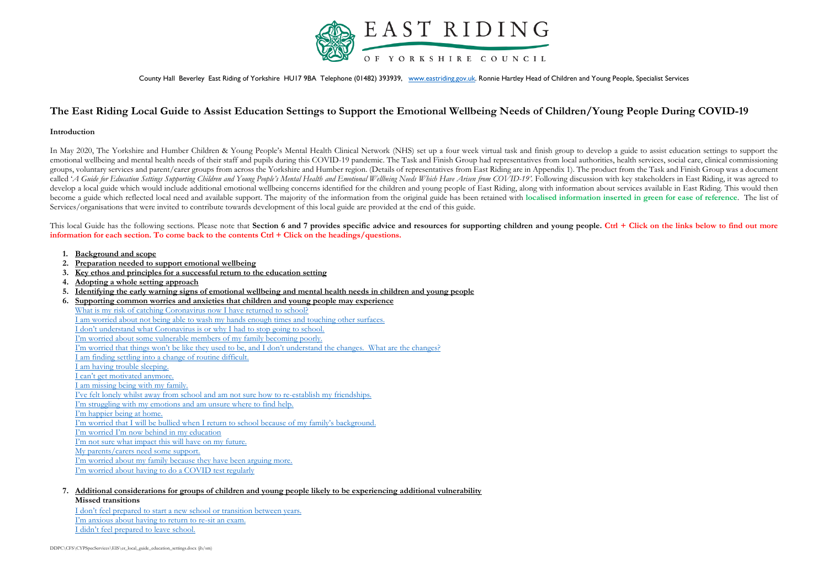

County Hall Beverley East Riding of Yorkshire HU17 9BA Telephone (01482) 393939, [www.eastriding.gov.uk.](http://www.eastriding.gov.uk/) Ronnie Hartley Head of Children and Young People, Specialist Services

# **The East Riding Local Guide to Assist Education Settings to Support the Emotional Wellbeing Needs of Children/Young People During COVID-19**

### **Introduction**

In May 2020, The Yorkshire and Humber Children & Young People's Mental Health Clinical Network (NHS) set up a four week virtual task and finish group to develop a guide to assist education settings to support the emotional wellbeing and mental health needs of their staff and pupils during this COVID-19 pandemic. The Task and Finish Group had representatives from local authorities, health services, social care, clinical commissioning groups, voluntary services and parent/carer groups from across the Yorkshire and Humber region. (Details of representatives from East Riding are in Appendix 1). The product from the Task and Finish Group was a document called 'A Guide for Education Settings Supporting Children and Young People's Mental Health and Emotional Wellbeing Needs Which Have Arisen from COVID-19'. Following discussion with key stakeholders in East Riding, it was develop a local guide which would include additional emotional wellbeing concerns identified for the children and young people of East Riding, along with information about services available in East Riding. This would then become a guide which reflected local need and available support. The majority of the information from the original guide has been retained with localised information inserted in green for ease of reference. The list of Services/organisations that were invited to contribute towards development of this local guide are provided at the end of this guide.

This local Guide has the following sections. Please note that **Section 6 and 7 provides specific advice and resources for supporting children and young people. Ctrl + Click on the links below to find out more information for each section. To come back to the contents Ctrl + Click on the headings/questions.** 

- <span id="page-0-0"></span>**1. [Background and scope](#page-2-0)**
- <span id="page-0-1"></span>**2. [Preparation needed to support emotional wellbeing](#page-2-1)**
- <span id="page-0-2"></span>**3. [Key ethos and principles for a successful return to the education setting](#page-2-2)**
- <span id="page-0-3"></span>**4. [Adopting a whole setting approach](#page-3-0)**
- <span id="page-0-4"></span>**5. [Identifying the early warning signs of emotional wellbeing and mental health needs in children and young people](#page-4-0)**
- <span id="page-0-5"></span>**6. [Supporting common worries and anxieties that children and young people may experience](#page-5-0)** [What is my risk of catching Coronavirus now I have returned to school?](#page-6-0) [I am worried about not being able to wash my hands enough times and touching other surfaces.](#page-6-1) [I don't understand what Coronavirus is or why I had to stop going to school.](#page-6-2) [I'm worried about some vulnerable members of my family becoming poorly.](#page-7-0) [I'm worried that things won't be like they used to be, and I don't understand the changes. What are the changes?](#page-7-1) [I am finding settling into a change of routine difficult.](#page-7-2) [I am having trouble sleeping.](#page-7-3) [I can't get motivated anymore.](#page-8-0) [I am missing being with my family.](#page-8-1) [I've felt lonely whilst away from school and am not sure how to re](#page-8-2)-establish my friendships. [I'm struggling with my emotions and am unsure where to find help.](#page-9-0)  [I'm happier being at home.](#page-10-0) [I'm worried that I will be bullied when I return to school because of my family's background.](#page-10-1)  [I'm worried I'm now behind in my education](#page-11-0) [I'm not sure what impact this will have on my future.](#page-11-1) [My parents/carers need some support.](#page-11-2) [I'm worried about my family because they have been arguing more.](#page-13-0) [I'm worried about having to do a COVID](#page-13-1) test regularly
- <span id="page-0-6"></span>**7. [Additional considerations for groups of children and young people likely to be experiencing additional vulnerability](#page-13-2) Missed transitions**

[I don't feel prepared to start a new](#page-13-3) school or transition between years. [I'm anxious about having to return to re](#page-14-0)-sit an exam. [I didn't feel prepared to leave school.](#page-14-1)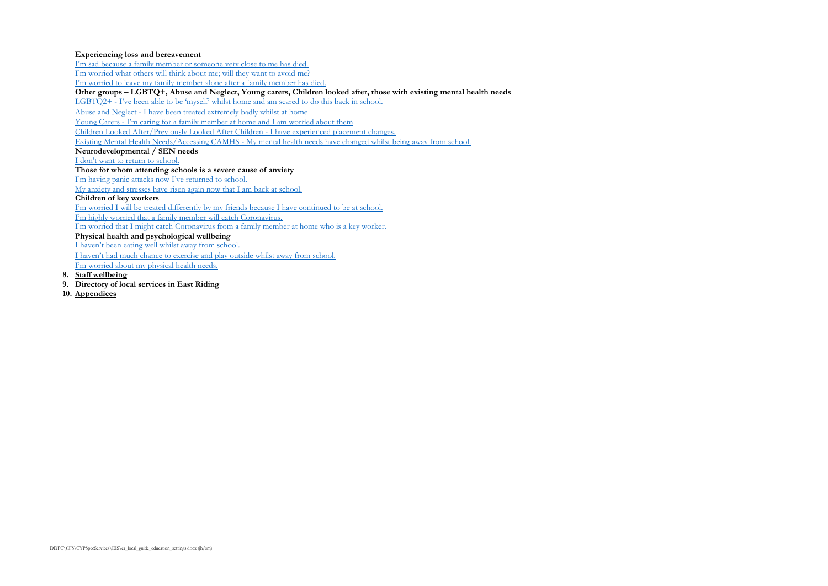### **Experiencing loss and bereavement**

[I'm sad because a family member or someone very close to me has died.](#page-15-0)

[I'm worried what others will think about me; will they want to avoid me?](#page-16-0)

[I'm worried to leave my family member alone after a family member has died.](#page-16-1)

**Other groups – LGBTQ+, Abuse and Neglect, Young carers, Children looked after, those with existing mental health needs**

LGBTQ2+ - [I've been able to be 'myself' whilst home and am scared to do this back in school.](#page-16-2)

Abuse and Neglect - [I have been treated extremely badly whilst at home](#page-17-0)

Young Carers - I'm cari[ng for a family member at home and I am worried about them](#page-17-1)

[Children Looked After/Previously Looked After Children -](#page-18-0) I have experienced placement changes.

Existing Mental Health Needs/Accessing CAMHS - [My mental health needs have changed whilst being away from school.](#page-18-1)

### **Neurodevelopmental / SEN needs**

[I don't want to return to school.](#page-19-0)

**Those for whom attending schools is a severe cause of anxiety**

[I'm having panic attacks now I've returned to school.](#page-19-1)

[My anxiety and stresses have risen again now that I am back at school.](#page-20-0)

### **Children of key workers**

[I'm worried I will be treated differently by my friends because I have continued to be at school.](#page-20-1)

[I'm highly worried that a family member will catch Coronavirus.](#page-20-2)

[I'm worried that I might catch Coronavirus from a family member at home who is a key worker.](#page-20-3)

**Physical health and psychological wellbeing**

[I haven't been eating well whilst away from school.](#page-21-0)

[I haven't had much chance to exercise and play outside whilst away from school.](#page-22-0)

<span id="page-1-0"></span>[I'm worried about my physical health needs.](#page-22-1)

- **8. [Staff wellbeing](#page-23-0)**
- <span id="page-1-1"></span>**9. [Directory of local services in East Riding](#page-24-0)**
- <span id="page-1-2"></span>**10. [Appendices](#page-25-0)**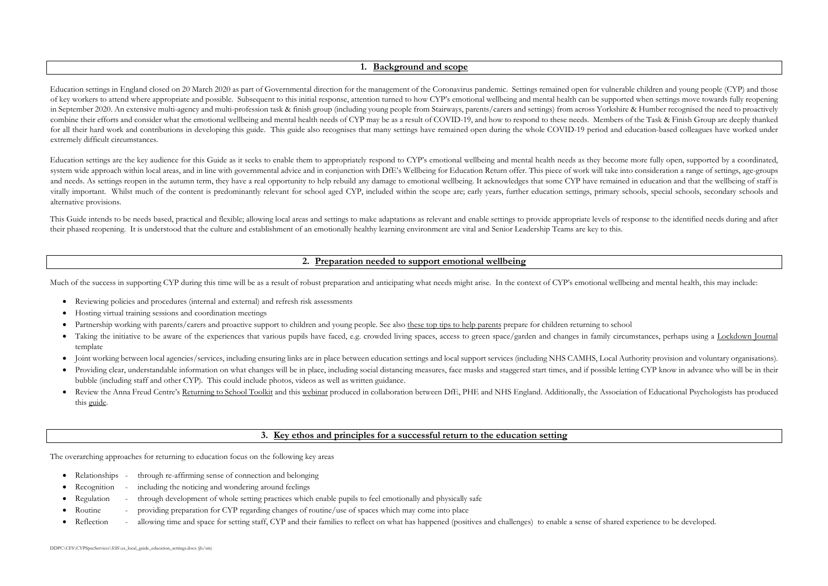### **1. [Background and scope](#page-0-0)**

<span id="page-2-0"></span>Education settings in England closed on 20 March 2020 as part of Governmental direction for the management of the Coronavirus pandemic. Settings remained open for vulnerable children and young people (CYP) and those of key workers to attend where appropriate and possible. Subsequent to this initial response, attention turned to how CYP's emotional wellbeing and mental health can be supported when settings move towards fully reopening in September 2020. An extensive multi-agency and multi-profession task & finish group (including young people from Stairways, parents/carers and settings) from across Yorkshire & Humber recognised the need to proactively combine their efforts and consider what the emotional wellbeing and mental health needs of CYP may be as a result of COVID-19, and how to respond to these needs. Members of the Task & Finish Group are deeply thanked for all their hard work and contributions in developing this guide. This guide also recognises that many settings have remained open during the whole COVID-19 period and education-based colleagues have worked under extremely difficult circumstances.

Education settings are the key audience for this Guide as it seeks to enable them to appropriately respond to CYP's emotional wellbeing and mental health needs as they become more fully open, supported by a coordinated, system wide approach within local areas, and in line with [governmental advice](https://www.gov.uk/government/publications/actions-for-educational-and-childcare-settings-to-prepare-for-wider-opening-from-1-june-2020#2020-05-12T17:15:41Z) and in conjunction with DfE's Wellbeing for Education Return offer. This piece of work will take into consideration a range of settings, age-gro and needs. As settings reopen in the autumn term, they have a real opportunity to help rebuild any damage to emotional wellbeing. It acknowledges that some CYP have remained in education and that the wellbeing of staff is vitally important. Whilst much of the content is predominantly relevant for school aged CYP, included within the scope are; early years, further education settings, primary schools, special schools, secondary schools and alternative provisions.

This Guide intends to be needs based, practical and flexible; allowing local areas and settings to make adaptations as relevant and enable settings to provide appropriate levels of response to the identified needs during a their phased reopening. It is understood that the culture and establishment of an emotionally healthy learning environment are vital and Senior Leadership Teams are key to this.

# **2. Preparation [needed to support emotional wellbeing](#page-0-1)**

<span id="page-2-1"></span>Much of the success in supporting CYP during this time will be as a result of robust preparation and anticipating what needs might arise. In the context of CYP's emotional wellbeing and mental health, this may include:

- Reviewing policies and procedures (internal and external) and refresh risk assessments
- Hosting virtual training sessions and coordination meetings
- [Partnership working with parents/carers](https://www.gov.uk/government/publications/closure-of-educational-settings-information-for-parents-and-carers#2020-05-11T17:57:37Z) and proactive support to children and young people. See also [these top tips to help parents](https://www.rcot.co.uk/preparing-your-child-returning-school) prepare for children returning to school
- Taking the initiative to be aware of the experiences that various pupils have faced, e.g. crowded living spaces, access to green space/garden and changes in family circumstances, perhaps using a [Lockdown Journal](https://padlet-uploads.storage.googleapis.com/550793108/d11101176e610f14d78d642f57e5fc2c/Lockdown_Journal.pdf) template
- Joint working between local agencies/services, including ensuring links are in place between education settings and local support services (including NHS CAMHS, Local Authority provision and voluntary organisations).
- Providing clear, understandable information on what changes will be in place, including social distancing measures, face masks and staggered start times, and if possible letting CYP know in advance who will be in their bubble (including staff and other CYP). This could include photos, videos as well as written guidance.
- Review the Anna Freud Centre's [Returning to School Toolkit](https://www.mentallyhealthyschools.org.uk/resources/coronavirus-returning-to-school-toolkit-8/) and this [webinar](https://www.youtube.com/watch?v=MYmBLnSQh3M) produced in collaboration between DfE, PHE and NHS England. Additionally, the Association of Educational Psychologists has produced this [guide.](https://www.aep.org.uk/recovery-re-introduction-renewal/)

# **3. Key ethos and principles [for a successful return to the education setting](#page-0-2)**

<span id="page-2-2"></span>The overarching approaches for returning to education focus on the following key areas

- Relationships through re-affirming sense of connection and belonging
- Recognition including the noticing and wondering around feelings
- Regulation through development of whole setting practices which enable pupils to feel emotionally and physically safe
- Routine providing preparation for CYP regarding changes of routine/use of spaces which may come into place
- Reflection allowing time and space for setting staff, CYP and their families to reflect on what has happened (positives and challenges) to enable a sense of shared experience to be developed.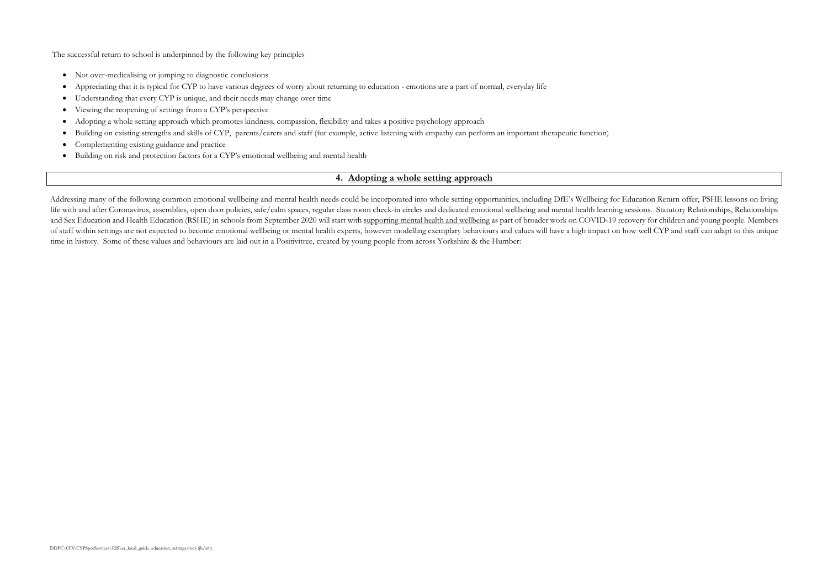The successful return to school is underpinned by the following key principles

- Not over-medicalising or jumping to diagnostic conclusions
- Appreciating that it is typical for CYP to have various degrees of worry about returning to education emotions are a part of normal, everyday life
- Understanding that every CYP is unique, and their needs may change over time
- Viewing the reopening of settings from a CYP's perspective
- Adopting a whole setting approach which promotes kindness, compassion, flexibility and takes a positive psychology approach
- Building on existing strengths and skills of CYP, parents/carers and staff (for example, active listening with empathy can perform an important therapeutic function)
- Complementing existing guidance and practice
- Building on risk and [protection factors](https://www.mentallyhealthyschools.org.uk/risks-and-protective-factors/school-based-risk-factors/) for a CYP's emotional wellbeing and mental health

### **4. [Adopting a whole setting approach](#page-0-3)**

<span id="page-3-0"></span>Addressing many of the following common emotional wellbeing and mental health needs could be incorporated into whole setting opportunities, including DfE's Wellbeing for Education Return offer, [PSHE](https://www.pshe-association.org.uk/content/coronavirus-hub) [lessons](http://www.chameleonpde.com/) on living life with and after Coronavirus, assemblies, open door policies, safe/calm spaces, regular class room check-in circles and dedicated emotional wellbeing and mental health learning sessions. Statutory Relationships, Relatio and Sex Education and Health Education (RSHE) in schools from September 2020 will start wit[h supporting mental health and wellbeing](https://www.gov.uk/guidance/teaching-about-mental-wellbeing) as part of broader work on COVID-19 recovery for children and young people. Members of staff within settings are not expected to become emotional wellbeing or mental health experts, however modelling exemplary behaviours and values will have a high impact on how well CYP and staff can adapt to this unique time in history. Some of these values and behaviours are laid out in a [Positivitree,](http://www.yhscn.nhs.uk/media/PDFs/children/CYP%20Involve/Stairways-Positivitree.pdf) created by young people from across Yorkshire & the Humber: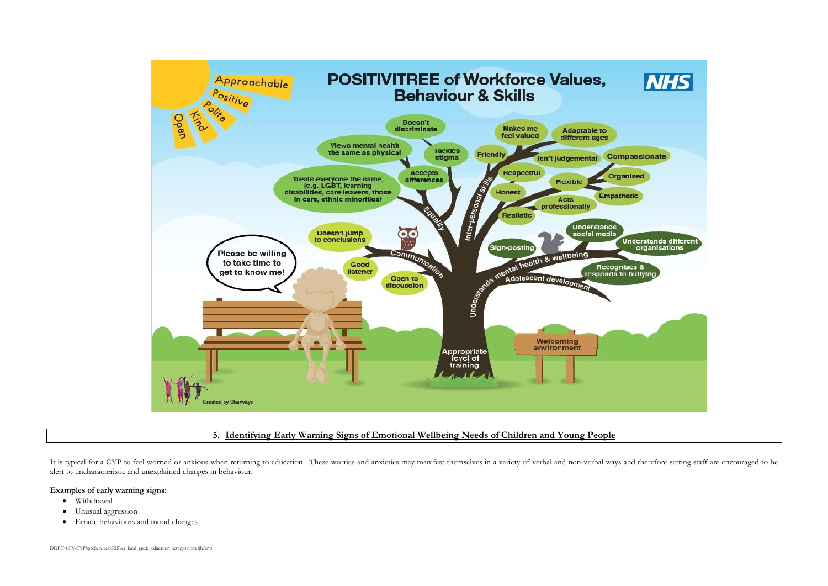| <b>NHS</b>                                                     |  |
|----------------------------------------------------------------|--|
|                                                                |  |
| <b>passionate</b>                                              |  |
| anised                                                         |  |
| hetic                                                          |  |
| Understands different<br>organisations<br>lses &<br>o bullying |  |
|                                                                |  |
|                                                                |  |
|                                                                |  |



### **5. [Identifying Early Warning Signs of Emotional Wellbeing Needs of Children and Young People](#page-0-4)**

<span id="page-4-0"></span>It is typical for a CYP to feel worried or anxious when returning to education. These worries and anxieties may manifest themselves in a variety of verbal and non-verbal ways and therefore setting staff are encouraged to b alert to uncharacteristic and unexplained changes in behaviour.

### **Examples of early warning signs:**

- Withdrawal
- Unusual aggression
- Erratic behaviours and mood changes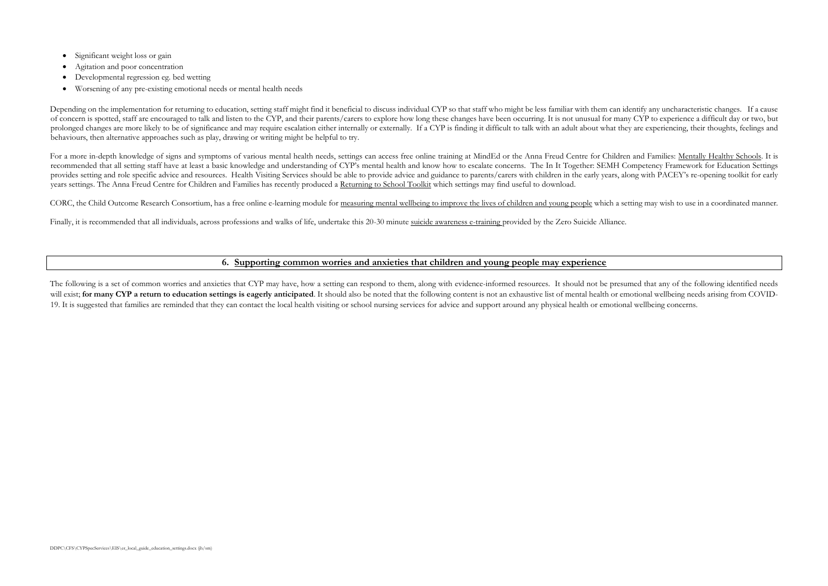- Significant weight loss or gain
- Agitation and poor concentration
- Developmental regression eg. bed wetting
- Worsening of any pre-existing emotional needs or mental health needs

Depending on the implementation for returning to education, setting staff might find it beneficial to discuss individual CYP so that staff who might be less familiar with them can identify any uncharacteristic changes. If of concern is spotted, staff are encouraged to talk and listen to the CYP, and their parents/carers to explore how long these changes have been occurring. It is not unusual for many CYP to experience a difficult day or two prolonged changes are more likely to be of significance and may require escalation either internally or externally. If a CYP is finding it difficult to talk with an adult about what they are experiencing, their thoughts, f behaviours, then alternative approaches such as play, drawing or writing might be helpful to try.

For a more in-depth knowledge of signs and symptoms of various mental health needs, settings can access free online training at [MindEd](https://www.minded.org.uk/) or the Anna Freud Centre for Children and Families: [Mentally Healthy Schools.](https://www.mentallyhealthyschools.org.uk/mental-health-needs/) It is recommended that all setting staff have at least a basic knowledge and understanding of CYP's mental health and know how to escalate concerns. The [In It Together:](http://www.yhscn.nhs.uk/children-network/Childrens-SEMH-Competency-Framework.php) SEMH Competency Framework for Education Settings provides setting and role specific advice and resources. Health Visiting Services should be able to provide advice and guidance to parents/carers with children in the early years, along with PACEY's re-opening toolkit for [years settings.](https://www.pacey.org.uk/working-in-childcare/spotlight-on/coronavirus/reopening-settings-coronavirus/) The Anna Freud Centre for Children and Families has recently produced a [Returning to School Toolkit](https://www.mentallyhealthyschools.org.uk/resources/coronavirus-returning-to-school-toolkit-8/) which settings may find useful to download.

<span id="page-5-0"></span>The following is a set of common worries and anxieties that CYP may have, how a setting can respond to them, along with evidence-informed resources. It should not be presumed that any of the following identified needs will exist; for many CYP a return to education settings is eagerly anticipated. It should also be noted that the following content is not an exhaustive list of mental health or emotional wellbeing needs arising from COVID-19. It is suggested that families are reminded that they can contact the local health visiting or school nursing services for advice and support around any physical health or emotional wellbeing concerns.

CORC, the Child Outcome Research Consortium, has a free online e-learning module for [measuring mental wellbeing to improve the lives of children and young people](https://www.corc.uk.net/elearning/) which a setting may wish to use in a coordinated manner.

Finally, it is recommended that all individuals, across professions and walks of life, undertake this 20-30 minute [suicide awareness e-training p](https://www.relias.co.uk/hubfs/ZSA-FullTraining/story_html5.html)rovided by the Zero Suicide Alliance.

### **6. [Supporting common worries and anxieties that children and young people may experience](#page-0-5)**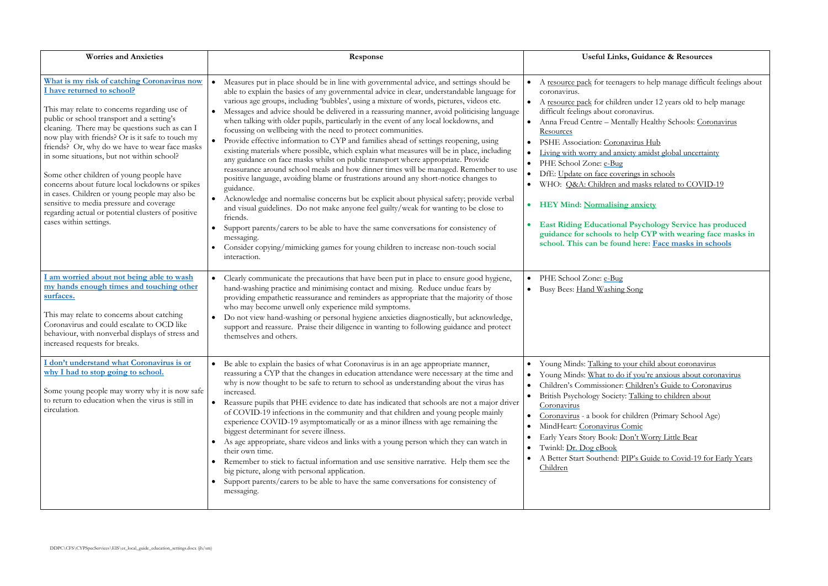# **, Guidance & Resources**

gers to help manage difficult feelings about

en under 12 years old to help manage onavirus. tally Healthy Schools: [Coronavirus](https://www.mentallyhealthyschools.org.uk/resources/?SearchTerm=coronavirus)

avirus Hub iety amidst global uncertainty

rings in schools d masks related to COVID-19

**H**  $\frac{1}{2}$ 

 **East Riding Educational Psychology Service has produced help CYP** with wearing face masks in **id here:** [Face masks in schools](http://eastridinglocaloffer.org.uk/EasySiteWeb/EasySite/StyleData/localoffer-base/Images/documents/COVID%20page/eps-advice-wearing-face-masks-in-schools-september-2020.pdf)

Song

vour child about coronavirus if you're anxious about coronavirus Children's Guide to Coronav[irus](https://www.childrenscommissioner.gov.uk/wp-content/uploads/2020/03/cco-childrens-guide-to-coronavirus.pdf) Brital Ending to children about

children (Primary School Age) omic **Oon't Worry Little Bear** 

TP's Guide to Covid[-19 for Early Years](https://abetterstartsouthend.co.uk/wp-content/uploads/2020/04/118355-ABSS-COVID-Presentation-Landscape-v11.pdf)

<span id="page-6-2"></span><span id="page-6-1"></span><span id="page-6-0"></span>

| <b>Worries and Anxieties</b>                                                                                                                                                                                                                                                                                                                                                                                                                                                                                                                                                                                                                               | Response                                                                                                                                                                                                                                                                                                                                                                                                                                                                                                                                                                                                                                                                                                                                                                                                                                                                                                                                                                                                                                                                                                                                                                                                                                                                                                                                                                                                                                                             | <b>Useful Links,</b>                                                                                                                                                                                                                                                                                                                                                                                                                                                                            |
|------------------------------------------------------------------------------------------------------------------------------------------------------------------------------------------------------------------------------------------------------------------------------------------------------------------------------------------------------------------------------------------------------------------------------------------------------------------------------------------------------------------------------------------------------------------------------------------------------------------------------------------------------------|----------------------------------------------------------------------------------------------------------------------------------------------------------------------------------------------------------------------------------------------------------------------------------------------------------------------------------------------------------------------------------------------------------------------------------------------------------------------------------------------------------------------------------------------------------------------------------------------------------------------------------------------------------------------------------------------------------------------------------------------------------------------------------------------------------------------------------------------------------------------------------------------------------------------------------------------------------------------------------------------------------------------------------------------------------------------------------------------------------------------------------------------------------------------------------------------------------------------------------------------------------------------------------------------------------------------------------------------------------------------------------------------------------------------------------------------------------------------|-------------------------------------------------------------------------------------------------------------------------------------------------------------------------------------------------------------------------------------------------------------------------------------------------------------------------------------------------------------------------------------------------------------------------------------------------------------------------------------------------|
| What is my risk of catching Coronavirus now<br>I have returned to school?<br>This may relate to concerns regarding use of<br>public or school transport and a setting's<br>cleaning. There may be questions such as can I<br>now play with friends? Or is it safe to touch my<br>friends? Or, why do we have to wear face masks<br>in some situations, but not within school?<br>Some other children of young people have<br>concerns about future local lockdowns or spikes<br>in cases. Children or young people may also be<br>sensitive to media pressure and coverage<br>regarding actual or potential clusters of positive<br>cases within settings. | Measures put in place should be in line with governmental advice, and settings should be<br>$\bullet$<br>able to explain the basics of any governmental advice in clear, understandable language for<br>various age groups, including 'bubbles', using a mixture of words, pictures, videos etc.<br>Messages and advice should be delivered in a reassuring manner, avoid politicising language<br>when talking with older pupils, particularly in the event of any local lockdowns, and<br>focussing on wellbeing with the need to protect communities.<br>$\bullet$<br>Provide effective information to CYP and families ahead of settings reopening, using<br>existing materials where possible, which explain what measures will be in place, including<br>any guidance on face masks whilst on public transport where appropriate. Provide<br>reassurance around school meals and how dinner times will be managed. Remember to use<br>positive language, avoiding blame or frustrations around any short-notice changes to<br>guidance.<br>Acknowledge and normalise concerns but be explicit about physical safety; provide verbal<br>$\bullet$<br>and visual guidelines. Do not make anyone feel guilty/weak for wanting to be close to<br>friends.<br>Support parents/carers to be able to have the same conversations for consistency of<br>messaging.<br>Consider copying/mimicking games for young children to increase non-touch social<br>interaction. | A resource pack for teenage<br>$\bullet$<br>coronavirus.<br>A resource pack for childre.<br>$\bullet$<br>difficult feelings about coro<br>Anna Freud Centre - Ment<br>$\bullet$<br>Resources<br>PSHE Association: Corona<br>Living with worry and anxie<br>$\bullet$<br>PHE School Zone: e-Bug<br>DfE: Update on face coveri<br>WHO: Q&A: Children and<br><b>HEY Mind: Normalising</b><br>$\bullet$<br><b>East Riding Educational</b><br>guidance for schools to h<br>school. This can be found |
| am worried about not being able to wash<br>my hands enough times and touching other<br>surfaces.<br>This may relate to concerns about catching<br>Coronavirus and could escalate to OCD like<br>behaviour, with nonverbal displays of stress and<br>increased requests for breaks.                                                                                                                                                                                                                                                                                                                                                                         | Clearly communicate the precautions that have been put in place to ensure good hygiene,<br>$\bullet$<br>hand-washing practice and minimising contact and mixing. Reduce undue fears by<br>providing empathetic reassurance and reminders as appropriate that the majority of those<br>who may become unwell only experience mild symptoms.<br>Do not view hand-washing or personal hygiene anxieties diagnostically, but acknowledge,<br>$\bullet$<br>support and reassure. Praise their diligence in wanting to following guidance and protect<br>themselves and others.                                                                                                                                                                                                                                                                                                                                                                                                                                                                                                                                                                                                                                                                                                                                                                                                                                                                                            | PHE School Zone: e-Bug<br>Busy Bees: Hand Washing S                                                                                                                                                                                                                                                                                                                                                                                                                                             |
| I don't understand what Coronavirus is or<br>why I had to stop going to school.<br>Some young people may worry why it is now safe<br>to return to education when the virus is still in<br>circulation.                                                                                                                                                                                                                                                                                                                                                                                                                                                     | Be able to explain the basics of what Coronavirus is in an age appropriate manner,<br>$\bullet$<br>reassuring a CYP that the changes in education attendance were necessary at the time and<br>why is now thought to be safe to return to school as understanding about the virus has<br>increased.<br>Reassure pupils that PHE evidence to date has indicated that schools are not a major driver<br>$\bullet$<br>of COVID-19 infections in the community and that children and young people mainly<br>experience COVID-19 asymptomatically or as a minor illness with age remaining the<br>biggest determinant for severe illness.<br>As age appropriate, share videos and links with a young person which they can watch in<br>their own time.<br>Remember to stick to factual information and use sensitive narrative. Help them see the<br>big picture, along with personal application.<br>Support parents/carers to be able to have the same conversations for consistency of<br>messaging.                                                                                                                                                                                                                                                                                                                                                                                                                                                                   | Young Minds: Talking to yo<br>$\bullet$<br>Young Minds: What to do i<br>$\bullet$<br>Children's Commissioner: 0<br>$\bullet$<br>British Psychology Society:<br>$\bullet$<br>Coronavirus<br>Coronavirus - a book for ch<br>$\bullet$<br>MindHeart: Coronavirus Co<br>Early Years Story Book: Do<br>Twinkl: Dr. Dog eBook<br>$\bullet$<br>A Better Start Southend: PI<br>$\bullet$<br>Children                                                                                                    |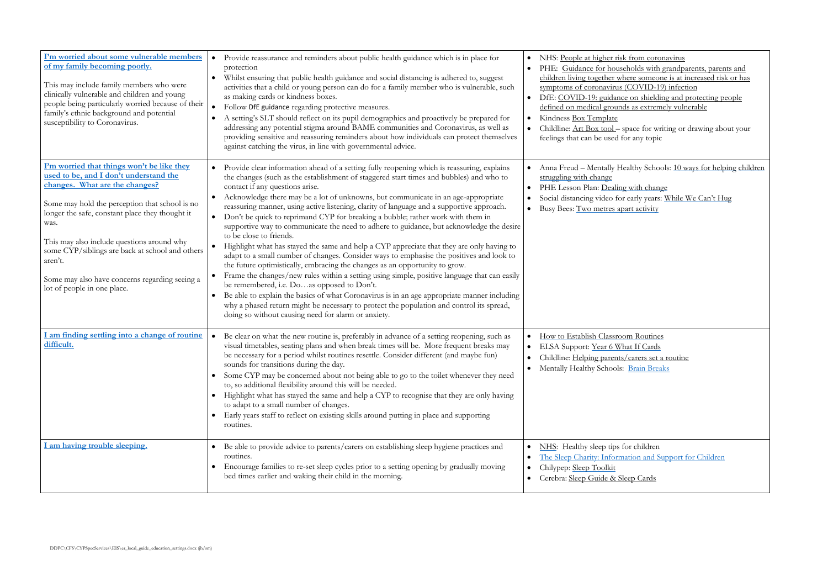<u>s from coronavirus</u> • PHE: Guidance for households with grandparents, parents and [children living together where someone is at increased risk or has](https://www.gov.uk/government/publications/covid-19-stay-at-home-guidance/guidance-for-households-with-grandparents-parents-and-children-living-together-where-someone-is-at-increased-risk-or-has-symptoms-of-coronavirus-cov#163961_20200504102717)   $(COVID-19)$  infection • DfE: COVID-19: guidance on shielding and protecting people

space for writing or drawing about your for any topic

ealthy Schools: [10 ways for helping](https://www.mentallyhealthyschools.org.uk/resources/10-ways-for-parents-to-help-their-children-cope-with-change/) children

<u>e</u> with change early years: [While We Can't Hug](https://youtu.be/2PnnFrPaRgY)ht bart activity

for children nation and Support for Children

<span id="page-7-3"></span><span id="page-7-2"></span><span id="page-7-1"></span><span id="page-7-0"></span>

| I'm worried about some vulnerable members<br>of my family becoming poorly.<br>This may include family members who were<br>clinically vulnerable and children and young<br>people being particularly worried because of their<br>family's ethnic background and potential<br>susceptibility to Coronavirus.                                                                                                                       | Provide reassurance and reminders about public health guidance which is in place for<br>protection<br>Whilst ensuring that public health guidance and social distancing is adhered to, suggest<br>activities that a child or young person can do for a family member who is vulnerable, such<br>as making cards or kindness boxes.<br>Follow DfE guidance regarding protective measures.<br>A setting's SLT should reflect on its pupil demographics and proactively be prepared for<br>addressing any potential stigma around BAME communities and Coronavirus, as well as<br>providing sensitive and reassuring reminders about how individuals can protect themselves<br>against catching the virus, in line with governmental advice.                                                                                                                                                                                                                                                                                                                                                                                                                                                                                                                                                                 | NHS: People at higher risk from coronavirus<br>PHE: Guidance for households with grandparents,<br>children living together where someone is at increas<br>symptoms of coronavirus (COVID-19) infection<br>DfE: COVID-19: guidance on shielding and protec<br>defined on medical grounds as extremely vulnerable<br>Kindness Box Template<br>Childline: Art Box tool – space for writing or drawing<br>feelings that can be used for any topic |
|----------------------------------------------------------------------------------------------------------------------------------------------------------------------------------------------------------------------------------------------------------------------------------------------------------------------------------------------------------------------------------------------------------------------------------|-----------------------------------------------------------------------------------------------------------------------------------------------------------------------------------------------------------------------------------------------------------------------------------------------------------------------------------------------------------------------------------------------------------------------------------------------------------------------------------------------------------------------------------------------------------------------------------------------------------------------------------------------------------------------------------------------------------------------------------------------------------------------------------------------------------------------------------------------------------------------------------------------------------------------------------------------------------------------------------------------------------------------------------------------------------------------------------------------------------------------------------------------------------------------------------------------------------------------------------------------------------------------------------------------------------|-----------------------------------------------------------------------------------------------------------------------------------------------------------------------------------------------------------------------------------------------------------------------------------------------------------------------------------------------------------------------------------------------------------------------------------------------|
| I'm worried that things won't be like they<br>used to be, and I don't understand the<br>changes. What are the changes?<br>Some may hold the perception that school is no<br>longer the safe, constant place they thought it<br>was.<br>This may also include questions around why<br>some CYP/siblings are back at school and others<br>aren't.<br>Some may also have concerns regarding seeing a<br>lot of people in one place. | Provide clear information ahead of a setting fully reopening which is reassuring, explains<br>the changes (such as the establishment of staggered start times and bubbles) and who to<br>contact if any questions arise.<br>Acknowledge there may be a lot of unknowns, but communicate in an age-appropriate<br>reassuring manner, using active listening, clarity of language and a supportive approach.<br>Don't be quick to reprimand CYP for breaking a bubble; rather work with them in<br>$\bullet$<br>supportive way to communicate the need to adhere to guidance, but acknowledge the desire<br>to be close to friends.<br>Highlight what has stayed the same and help a CYP appreciate that they are only having to<br>adapt to a small number of changes. Consider ways to emphasise the positives and look to<br>the future optimistically, embracing the changes as an opportunity to grow.<br>Frame the changes/new rules within a setting using simple, positive language that can easily<br>be remembered, i.e. Doas opposed to Don't.<br>Be able to explain the basics of what Coronavirus is in an age appropriate manner including<br>why a phased return might be necessary to protect the population and control its spread,<br>doing so without causing need for alarm or anxiety. | Anna Freud - Mentally Healthy Schools: 10 ways fo<br>struggling with change<br>PHE Lesson Plan: Dealing with change<br>Social distancing video for early years: While We Ca<br>Busy Bees: Two metres apart activity                                                                                                                                                                                                                           |
| am finding settling into a change of routine<br>difficult.                                                                                                                                                                                                                                                                                                                                                                       | Be clear on what the new routine is, preferably in advance of a setting reopening, such as<br>visual timetables, seating plans and when break times will be. More frequent breaks may<br>be necessary for a period whilst routines resettle. Consider different (and maybe fun)<br>sounds for transitions during the day.<br>Some CYP may be concerned about not being able to go to the toilet whenever they need<br>$\bullet$<br>to, so additional flexibility around this will be needed.<br>Highlight what has stayed the same and help a CYP to recognise that they are only having<br>$\bullet$<br>to adapt to a small number of changes.<br>Early years staff to reflect on existing skills around putting in place and supporting<br>routines.                                                                                                                                                                                                                                                                                                                                                                                                                                                                                                                                                    | How to Establish Classroom Routines<br>ELSA Support: Year 6 What If Cards<br>Childline: Helping parents/carers set a routine<br>• Mentally Healthy Schools: Brain Breaks                                                                                                                                                                                                                                                                      |
| am having trouble sleeping.                                                                                                                                                                                                                                                                                                                                                                                                      | Be able to provide advice to parents/carers on establishing sleep hygiene practices and<br>routines.<br>Encourage families to re-set sleep cycles prior to a setting opening by gradually moving<br>bed times earlier and waking their child in the morning.                                                                                                                                                                                                                                                                                                                                                                                                                                                                                                                                                                                                                                                                                                                                                                                                                                                                                                                                                                                                                                              | NHS: Healthy sleep tips for children<br>The Sleep Charity: Information and Support for Ch<br>$\bullet$<br>Chilypep: Sleep Toolkit<br>Cerebra: Sleep Guide & Sleep Cards<br>$\bullet$                                                                                                                                                                                                                                                          |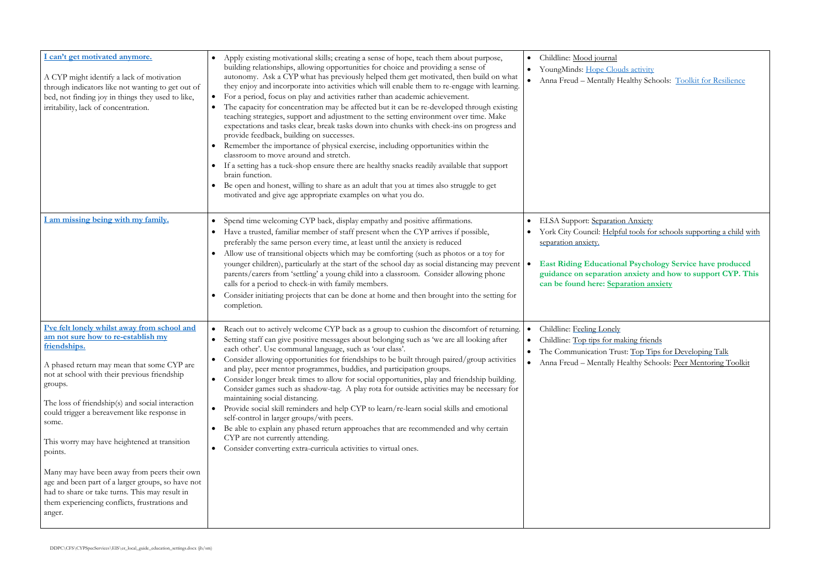Is activity ealthy Schools: [Toolkit for Resilience](https://www.mentallyhealthyschools.org.uk/media/2047/coronavirus-toolkit-6-resilience.pdf)

<u>Anxiety</u>

I tools for schools supporting a child with

**East Ridding Education** anxiety and how to support CYP. This **cancer be found to the found here** 

king [friends](https://www.childline.org.uk/info-advice/friends-relationships-sex/friends/top-tips-making-friends/) t: [Top Tips for Developing Talk](https://www.thecommunicationtrust.org.uk/media/617945/tct_toptips_pdf.pdf) ealthy Schools: [Peer Mentoring Toolkit](https://www.mentallyhealthyschools.org.uk/resources/peer-mentoring-toolkit/)

<span id="page-8-2"></span><span id="page-8-1"></span><span id="page-8-0"></span>

| I can't get motivated anymore.<br>A CYP might identify a lack of motivation<br>through indicators like not wanting to get out of<br>bed, not finding joy in things they used to like,<br>irritability, lack of concentration.                                                                                                                                                                                                                                                                                                                                                                         | Apply existing motivational skills; creating a sense of hope, teach them about purpose,<br>building relationships, allowing opportunities for choice and providing a sense of<br>autonomy. Ask a CYP what has previously helped them get motivated, then build on what<br>they enjoy and incorporate into activities which will enable them to re-engage with learning.<br>For a period, focus on play and activities rather than academic achievement.<br>The capacity for concentration may be affected but it can be re-developed through existing<br>teaching strategies, support and adjustment to the setting environment over time. Make<br>expectations and tasks clear, break tasks down into chunks with check-ins on progress and<br>provide feedback, building on successes.<br>Remember the importance of physical exercise, including opportunities within the<br>classroom to move around and stretch.<br>If a setting has a tuck-shop ensure there are healthy snacks readily available that support<br>brain function.<br>Be open and honest, willing to share as an adult that you at times also struggle to get<br>motivated and give age appropriate examples on what you do. | Childline: Mood journal<br>$\bullet$<br>YoungMinds: Hope Cloud<br>$\bullet$<br>Anna Freud - Mentally He<br>$\bullet$                                                                 |
|-------------------------------------------------------------------------------------------------------------------------------------------------------------------------------------------------------------------------------------------------------------------------------------------------------------------------------------------------------------------------------------------------------------------------------------------------------------------------------------------------------------------------------------------------------------------------------------------------------|---------------------------------------------------------------------------------------------------------------------------------------------------------------------------------------------------------------------------------------------------------------------------------------------------------------------------------------------------------------------------------------------------------------------------------------------------------------------------------------------------------------------------------------------------------------------------------------------------------------------------------------------------------------------------------------------------------------------------------------------------------------------------------------------------------------------------------------------------------------------------------------------------------------------------------------------------------------------------------------------------------------------------------------------------------------------------------------------------------------------------------------------------------------------------------------------------|--------------------------------------------------------------------------------------------------------------------------------------------------------------------------------------|
| I am missing being with my family.                                                                                                                                                                                                                                                                                                                                                                                                                                                                                                                                                                    | Spend time welcoming CYP back, display empathy and positive affirmations.<br>Have a trusted, familiar member of staff present when the CYP arrives if possible,<br>preferably the same person every time, at least until the anxiety is reduced<br>Allow use of transitional objects which may be comforting (such as photos or a toy for<br>younger children), particularly at the start of the school day as social distancing may prevent<br>parents/carers from 'settling' a young child into a classroom. Consider allowing phone<br>calls for a period to check-in with family members.<br>Consider initiating projects that can be done at home and then brought into the setting for<br>completion.                                                                                                                                                                                                                                                                                                                                                                                                                                                                                       | ELSA Support: Separation<br>York City Council: Helpful<br>separation anxiety.<br><b>East Riding Educational</b><br>$\bullet$<br>guidance on separation a<br>can be found here: Separ |
| I've felt lonely whilst away from school and<br>am not sure how to re-establish my<br>friendships.<br>A phased return may mean that some CYP are<br>not at school with their previous friendship<br>groups.<br>The loss of friendship(s) and social interaction<br>could trigger a bereavement like response in<br>some.<br>This worry may have heightened at transition<br>points.<br>Many may have been away from peers their own<br>age and been part of a larger groups, so have not<br>had to share or take turns. This may result in<br>them experiencing conflicts, frustrations and<br>anger. | Reach out to actively welcome CYP back as a group to cushion the discomfort of returning.<br>Setting staff can give positive messages about belonging such as 'we are all looking after<br>each other'. Use communal language, such as 'our class'.<br>Consider allowing opportunities for friendships to be built through paired/group activities<br>$\bullet$<br>and play, peer mentor programmes, buddies, and participation groups.<br>Consider longer break times to allow for social opportunities, play and friendship building.<br>Consider games such as shadow-tag. A play rota for outside activities may be necessary for<br>maintaining social distancing.<br>Provide social skill reminders and help CYP to learn/re-learn social skills and emotional<br>$\bullet$<br>self-control in larger groups/with peers.<br>Be able to explain any phased return approaches that are recommended and why certain<br>$\bullet$<br>CYP are not currently attending.<br>Consider converting extra-curricula activities to virtual ones.<br>$\bullet$                                                                                                                                           | Childline: Feeling Lonely<br>$\bullet$<br>Childline: Top tips for mak<br>$\bullet$<br>The Communication Trust<br>$\bullet$<br>Anna Freud – Mentally He                               |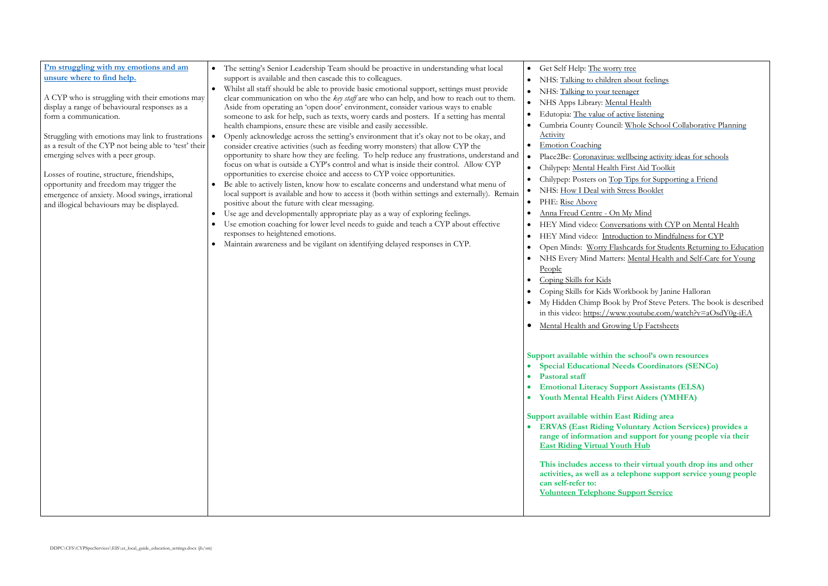about feelings nager al Health tive listening Whole School Collaborative Planning

ellbeing activity ideas for schools **First Aid Toolkit** Tips for Supporting a Friend ress Booklet

My Mind sations with CYP on Mental Health uction to Mindfulness for CYP ncards for Students Returning to Education Mental Health and Self-Care for Young

orkbook by Janine Halloran by Prof Steve Peters. The book is described v.youtube.com/watch?v=aOsdY0g-iEA ng Up Factsheets

school's own resources **Eds Coordinators (SENCo)** 

**Port Assistants (ELSA) First Aiders (YMHFA)** 

**Support Riding area EDEXTA (EXECTED)** provides a *rangerier information and support for young people via their* **East Ridding Truth Hub** 

their virtual youth drop ins and other **alephone support service young people** 

**<u>Ipport Service</u>** 

<span id="page-9-0"></span>

| I'm struggling with my emotions and am<br>unsure where to find help.<br>A CYP who is struggling with their emotions may<br>display a range of behavioural responses as a<br>form a communication.<br>Struggling with emotions may link to frustrations<br>as a result of the CYP not being able to 'test' their<br>emerging selves with a peer group.<br>Losses of routine, structure, friendships,<br>opportunity and freedom may trigger the<br>emergence of anxiety. Mood swings, irrational<br>and illogical behaviours may be displayed. | The setting's Senior Leadership Team should be proactive in understanding what local<br>$\bullet$<br>support is available and then cascade this to colleagues.<br>Whilst all staff should be able to provide basic emotional support, settings must provide<br>$\bullet$<br>clear communication on who the key staff are who can help, and how to reach out to them.<br>Aside from operating an 'open door' environment, consider various ways to enable<br>someone to ask for help, such as texts, worry cards and posters. If a setting has mental<br>health champions, ensure these are visible and easily accessible.<br>Openly acknowledge across the setting's environment that it's okay not to be okay, and<br>$\bullet$<br>consider creative activities (such as feeding worry monsters) that allow CYP the<br>opportunity to share how they are feeling. To help reduce any frustrations, understand and<br>focus on what is outside a CYP's control and what is inside their control. Allow CYP<br>opportunities to exercise choice and access to CYP voice opportunities.<br>Be able to actively listen, know how to escalate concerns and understand what menu of<br>$\bullet$<br>local support is available and how to access it (both within settings and externally). Remain<br>positive about the future with clear messaging.<br>Use age and developmentally appropriate play as a way of exploring feelings.<br>Use emotion coaching for lower level needs to guide and teach a CYP about effective<br>responses to heightened emotions.<br>Maintain awareness and be vigilant on identifying delayed responses in CYP. | Get Self Help: The worry tree<br>$\bullet$<br>NHS: Talking to children abo<br>NHS: Talking to your teenage<br>$\bullet$<br>NHS Apps Library: Mental H<br>$\bullet$<br>Edutopia: The value of active<br>Cumbria County Council: Wh<br><b>Activity</b><br><b>Emotion Coaching</b><br>Place2Be: Coronavirus: wellbo<br>Chilypep: Mental Health First<br>Chilypep: Posters on Top Tip<br>NHS: How I Deal with Stress<br>PHE: Rise Above<br>$\bullet$<br>Anna Freud Centre - On My<br>HEY Mind video: Conversation<br>HEY Mind video: Introducti<br>$\bullet$<br>Open Minds: Worry Flashcar<br>NHS Every Mind Matters: M<br>People<br>Coping Skills for Kids<br>Coping Skills for Kids Workb<br>My Hidden Chimp Book by I<br>in this video: https://www.yo<br>Mental Health and Growing I |
|-----------------------------------------------------------------------------------------------------------------------------------------------------------------------------------------------------------------------------------------------------------------------------------------------------------------------------------------------------------------------------------------------------------------------------------------------------------------------------------------------------------------------------------------------|--------------------------------------------------------------------------------------------------------------------------------------------------------------------------------------------------------------------------------------------------------------------------------------------------------------------------------------------------------------------------------------------------------------------------------------------------------------------------------------------------------------------------------------------------------------------------------------------------------------------------------------------------------------------------------------------------------------------------------------------------------------------------------------------------------------------------------------------------------------------------------------------------------------------------------------------------------------------------------------------------------------------------------------------------------------------------------------------------------------------------------------------------------------------------------------------------------------------------------------------------------------------------------------------------------------------------------------------------------------------------------------------------------------------------------------------------------------------------------------------------------------------------------------------------------------------------------------------------------------------------------------------|--------------------------------------------------------------------------------------------------------------------------------------------------------------------------------------------------------------------------------------------------------------------------------------------------------------------------------------------------------------------------------------------------------------------------------------------------------------------------------------------------------------------------------------------------------------------------------------------------------------------------------------------------------------------------------------------------------------------------------------------------------------------------------------|
|                                                                                                                                                                                                                                                                                                                                                                                                                                                                                                                                               |                                                                                                                                                                                                                                                                                                                                                                                                                                                                                                                                                                                                                                                                                                                                                                                                                                                                                                                                                                                                                                                                                                                                                                                                                                                                                                                                                                                                                                                                                                                                                                                                                                            | Support available within the sc<br><b>Special Educational Needs</b><br><b>Pastoral staff</b><br>$\bullet$<br><b>Emotional Literacy Suppor</b><br><b>Youth Mental Health First</b><br>Support available within East I<br><b>ERVAS (East Riding Volur</b><br>range of information and su<br><b>East Riding Virtual Youth 1</b><br>This includes access to the<br>activities, as well as a telepl<br>can self-refer to:<br><b>Volunteen Telephone Supp</b>                                                                                                                                                                                                                                                                                                                              |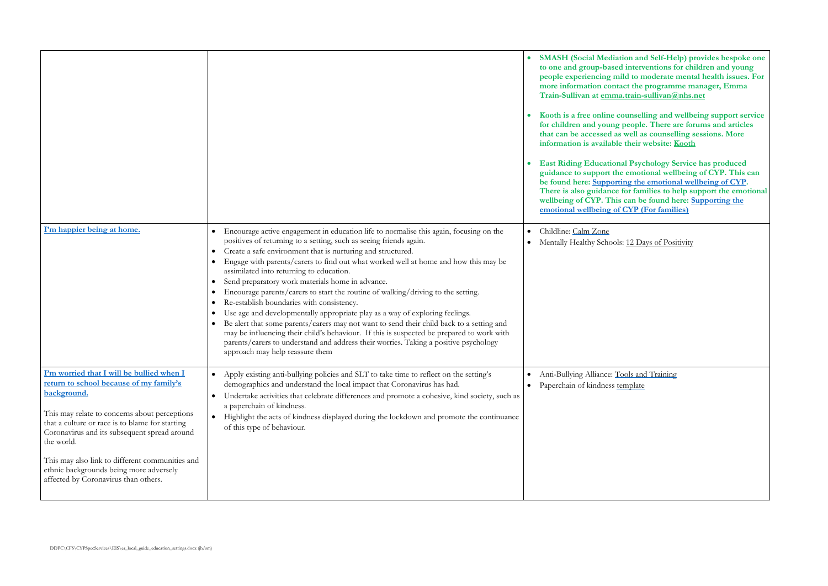**SMASH (Social Mediation and Self-Help) provides bespoke one to one and group-based interventions for children and young pd** to moderate mental health issues. For **more information contact the programme manager, Emma train-sullivan@nhs.net** 

> **koothaloen is a fixed velocity only conselling and wellbeing support service for children and young people. There are forums and articles**  well as counselling sessions. More their website: **Kooth**

 **East Riding Educational Psychology Service has produced guidance to support the emotional wellbeing of CYP. This can**   $\overrightarrow{b}$  and the emotional wellbeing of CYP. **There** is also guidance for families to help support the emotional can be found here: **Supporting the CYP** (For families)

: [12 Days of Positivity](https://www.mentallyhealthyschools.org.uk/media/2292/12-days-of-positivity.pdf)

ools and Training emplate

<span id="page-10-1"></span><span id="page-10-0"></span>

|                                                                                                                                                                                                                                                                                                                                                                                                             |                                                                                                                                                                                                                                                                                                                                                                                                                                                                                                                                                                                                                                                                                                                                                                                                                                                                                                                                                                                   | <b>SMASH (Social Mediati</b><br>to one and group-based<br>people experiencing mil<br>more information contae<br>Train-Sullivan at emma.<br>Kooth is a free online co<br>for children and young p<br>that can be accessed as<br>information is available<br><b>East Riding Educationa</b><br>guidance to support the<br>be found here: Supportin<br>There is also guidance fo<br>wellbeing of CYP. This<br>emotional wellbeing of ( |
|-------------------------------------------------------------------------------------------------------------------------------------------------------------------------------------------------------------------------------------------------------------------------------------------------------------------------------------------------------------------------------------------------------------|-----------------------------------------------------------------------------------------------------------------------------------------------------------------------------------------------------------------------------------------------------------------------------------------------------------------------------------------------------------------------------------------------------------------------------------------------------------------------------------------------------------------------------------------------------------------------------------------------------------------------------------------------------------------------------------------------------------------------------------------------------------------------------------------------------------------------------------------------------------------------------------------------------------------------------------------------------------------------------------|------------------------------------------------------------------------------------------------------------------------------------------------------------------------------------------------------------------------------------------------------------------------------------------------------------------------------------------------------------------------------------------------------------------------------------|
| I'm happier being at home.                                                                                                                                                                                                                                                                                                                                                                                  | Encourage active engagement in education life to normalise this again, focusing on the<br>$\bullet$<br>positives of returning to a setting, such as seeing friends again.<br>Create a safe environment that is nurturing and structured.<br>$\bullet$<br>Engage with parents/carers to find out what worked well at home and how this may be<br>assimilated into returning to education.<br>Send preparatory work materials home in advance.<br>Encourage parents/carers to start the routine of walking/driving to the setting.<br>Re-establish boundaries with consistency.<br>Use age and developmentally appropriate play as a way of exploring feelings.<br>Be alert that some parents/carers may not want to send their child back to a setting and<br>may be influencing their child's behaviour. If this is suspected be prepared to work with<br>parents/carers to understand and address their worries. Taking a positive psychology<br>approach may help reassure them | Childline: Calm Zone<br>$\bullet$<br>Mentally Healthy Schools:<br>$\bullet$                                                                                                                                                                                                                                                                                                                                                        |
| I'm worried that I will be bullied when I<br>return to school because of my family's<br>background.<br>This may relate to concerns about perceptions<br>that a culture or race is to blame for starting<br>Coronavirus and its subsequent spread around<br>the world.<br>This may also link to different communities and<br>ethnic backgrounds being more adversely<br>affected by Coronavirus than others. | Apply existing anti-bullying policies and SLT to take time to reflect on the setting's<br>$\bullet$<br>demographics and understand the local impact that Coronavirus has had.<br>Undertake activities that celebrate differences and promote a cohesive, kind society, such as<br>$\bullet$<br>a paperchain of kindness.<br>Highlight the acts of kindness displayed during the lockdown and promote the continuance<br>$\bullet$<br>of this type of behaviour.                                                                                                                                                                                                                                                                                                                                                                                                                                                                                                                   | Anti-Bullying Alliance: To<br>Paperchain of kindness ter<br>$\bullet$                                                                                                                                                                                                                                                                                                                                                              |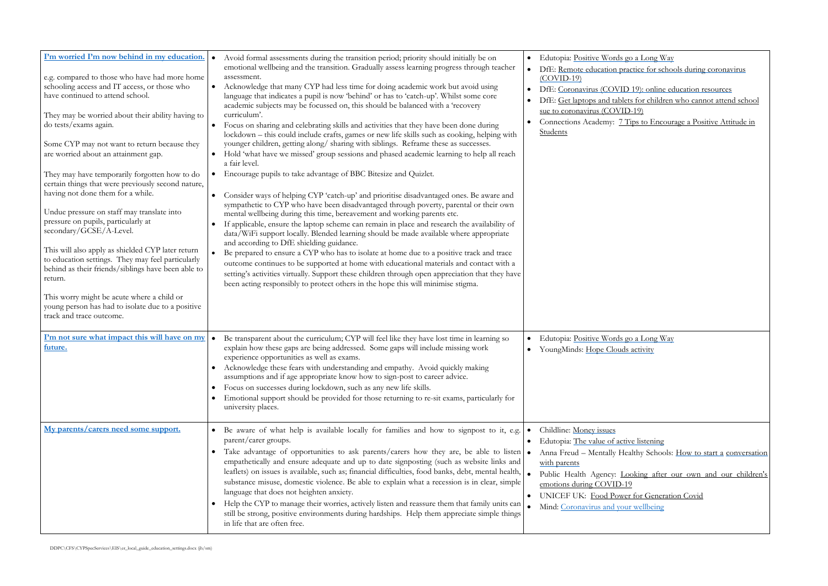go a Long Way ractice for schools during coronavirus

D 19): online education resources ets for children who cannot attend school  $D-19$ )

Tips to Encourage a Positive Attitude in

go a Long Way s activity

tive listening ealthy Schools: [How to start a](https://www.mentallyhealthyschools.org.uk/getting-started/how-to-start-a-conversation-with-a-parentcarer/) conversation

Public Health Agency Cooking after our own and our children's<br>19 er for Generation Covid ur wellbeing

<span id="page-11-2"></span><span id="page-11-1"></span><span id="page-11-0"></span>

| I'm worried I'm now behind in my education.<br>e.g. compared to those who have had more home<br>schooling access and IT access, or those who<br>have continued to attend school.<br>They may be worried about their ability having to<br>do tests/exams again.<br>Some CYP may not want to return because they<br>are worried about an attainment gap.<br>They may have temporarily forgotten how to do<br>certain things that were previously second nature,<br>having not done them for a while.<br>Undue pressure on staff may translate into<br>pressure on pupils, particularly at<br>secondary/GCSE/A-Level.<br>This will also apply as shielded CYP later return<br>to education settings. They may feel particularly<br>behind as their friends/siblings have been able to<br>return.<br>This worry might be acute where a child or<br>young person has had to isolate due to a positive<br>track and trace outcome. | Avoid formal assessments during the transition period; priority should initially be on<br>emotional wellbeing and the transition. Gradually assess learning progress through teacher<br>assessment.<br>Acknowledge that many CYP had less time for doing academic work but avoid using<br>$\bullet$<br>language that indicates a pupil is now 'behind' or has to 'catch-up'. Whilst some core<br>academic subjects may be focussed on, this should be balanced with a 'recovery<br>curriculum'.<br>Focus on sharing and celebrating skills and activities that they have been done during<br>$\bullet$<br>lockdown - this could include crafts, games or new life skills such as cooking, helping with<br>younger children, getting along/sharing with siblings. Reframe these as successes.<br>Hold 'what have we missed' group sessions and phased academic learning to help all reach<br>$\bullet$<br>a fair level.<br>Encourage pupils to take advantage of BBC Bitesize and Quizlet.<br>$\bullet$<br>Consider ways of helping CYP 'catch-up' and prioritise disadvantaged ones. Be aware and<br>$\bullet$<br>sympathetic to CYP who have been disadvantaged through poverty, parental or their own<br>mental wellbeing during this time, bereavement and working parents etc.<br>If applicable, ensure the laptop scheme can remain in place and research the availability of<br>$\bullet$<br>data/WiFi support locally. Blended learning should be made available where appropriate<br>and according to DfE shielding guidance.<br>Be prepared to ensure a CYP who has to isolate at home due to a positive track and trace<br>$\bullet$<br>outcome continues to be supported at home with educational materials and contact with a<br>setting's activities virtually. Support these children through open appreciation that they have<br>been acting responsibly to protect others in the hope this will minimise stigma. | Edutopia: Positive Words go<br>$\bullet$<br>DfE: Remote education prac<br>$(COVID-19)$<br>DfE: Coronavirus (COVID<br>DfE: Get laptops and tablets<br>sue to coronavirus (COVID-<br>Connections Academy: 7 Ti<br>Students                                           |
|------------------------------------------------------------------------------------------------------------------------------------------------------------------------------------------------------------------------------------------------------------------------------------------------------------------------------------------------------------------------------------------------------------------------------------------------------------------------------------------------------------------------------------------------------------------------------------------------------------------------------------------------------------------------------------------------------------------------------------------------------------------------------------------------------------------------------------------------------------------------------------------------------------------------------|----------------------------------------------------------------------------------------------------------------------------------------------------------------------------------------------------------------------------------------------------------------------------------------------------------------------------------------------------------------------------------------------------------------------------------------------------------------------------------------------------------------------------------------------------------------------------------------------------------------------------------------------------------------------------------------------------------------------------------------------------------------------------------------------------------------------------------------------------------------------------------------------------------------------------------------------------------------------------------------------------------------------------------------------------------------------------------------------------------------------------------------------------------------------------------------------------------------------------------------------------------------------------------------------------------------------------------------------------------------------------------------------------------------------------------------------------------------------------------------------------------------------------------------------------------------------------------------------------------------------------------------------------------------------------------------------------------------------------------------------------------------------------------------------------------------------------------------------------------------------------------------------------------------------------------|--------------------------------------------------------------------------------------------------------------------------------------------------------------------------------------------------------------------------------------------------------------------|
| I'm not sure what impact this will have on my<br>future.                                                                                                                                                                                                                                                                                                                                                                                                                                                                                                                                                                                                                                                                                                                                                                                                                                                                     | Be transparent about the curriculum; CYP will feel like they have lost time in learning so<br>$\bullet$<br>explain how these gaps are being addressed. Some gaps will include missing work<br>experience opportunities as well as exams.<br>Acknowledge these fears with understanding and empathy. Avoid quickly making<br>$\bullet$<br>assumptions and if age appropriate know how to sign-post to career advice.<br>Focus on successes during lockdown, such as any new life skills.<br>$\bullet$<br>Emotional support should be provided for those returning to re-sit exams, particularly for<br>$\bullet$<br>university places.                                                                                                                                                                                                                                                                                                                                                                                                                                                                                                                                                                                                                                                                                                                                                                                                                                                                                                                                                                                                                                                                                                                                                                                                                                                                                            | Edutopia: Positive Words go<br>YoungMinds: Hope Clouds<br>$\bullet$                                                                                                                                                                                                |
| My parents/carers need some support.                                                                                                                                                                                                                                                                                                                                                                                                                                                                                                                                                                                                                                                                                                                                                                                                                                                                                         | • Be aware of what help is available locally for families and how to signpost to it, e.g.<br>parent/carer groups.<br>Take advantage of opportunities to ask parents/carers how they are, be able to listen<br>$\bullet$<br>empathetically and ensure adequate and up to date signposting (such as website links and<br>leaflets) on issues is available, such as; financial difficulties, food banks, debt, mental health,<br>substance misuse, domestic violence. Be able to explain what a recession is in clear, simple<br>language that does not heighten anxiety.<br>Help the CYP to manage their worries, actively listen and reassure them that family units can<br>$\bullet$<br>still be strong, positive environments during hardships. Help them appreciate simple things<br>in life that are often free.                                                                                                                                                                                                                                                                                                                                                                                                                                                                                                                                                                                                                                                                                                                                                                                                                                                                                                                                                                                                                                                                                                              | Childline: Money issues<br>Edutopia: The value of activ<br>Anna Freud - Mentally Hea<br>$\bullet$<br>with parents<br>Public Health Agency: Loc<br>emotions during COVID-19<br><b>UNICEF UK: Food Power</b><br>$\bullet$<br>Mind: Coronavirus and your<br>$\bullet$ |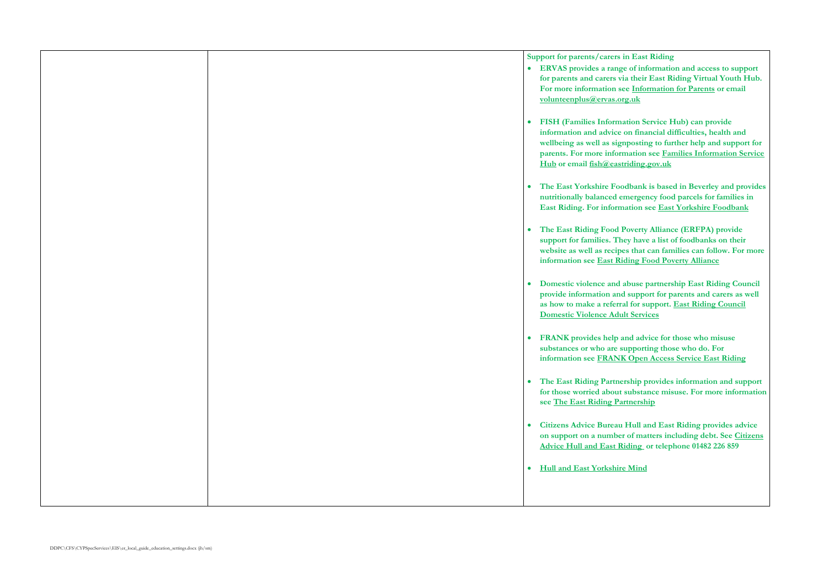| Support for parents/carers in<br>· ERVAS provides a range<br>for parents and carers via<br>For more information see<br>volunteenplus@ervas.org.<br><b>FISH (Families Informati</b><br>$\bullet$<br>information and advice or<br>wellbeing as well as signp<br>parents. For more informa<br>Hub or email fish@eastric<br>The East Yorkshire Food<br>$\bullet$<br>nutritionally balanced em<br><b>East Riding. For informat</b><br>The East Riding Food Po<br>$\bullet$<br>support for families. They<br>website as well as recipes<br>information see East Ridi<br>Domestic violence and ab<br>$\bullet$<br>provide information and s<br>as how to make a referral<br><b>Domestic Violence Adult</b><br><b>FRANK</b> provides help and<br>$\bullet$<br>substances or who are sup<br>information see FRANK<br>The East Riding Partners<br>$\bullet$ |
|---------------------------------------------------------------------------------------------------------------------------------------------------------------------------------------------------------------------------------------------------------------------------------------------------------------------------------------------------------------------------------------------------------------------------------------------------------------------------------------------------------------------------------------------------------------------------------------------------------------------------------------------------------------------------------------------------------------------------------------------------------------------------------------------------------------------------------------------------|
|                                                                                                                                                                                                                                                                                                                                                                                                                                                                                                                                                                                                                                                                                                                                                                                                                                                   |
|                                                                                                                                                                                                                                                                                                                                                                                                                                                                                                                                                                                                                                                                                                                                                                                                                                                   |
|                                                                                                                                                                                                                                                                                                                                                                                                                                                                                                                                                                                                                                                                                                                                                                                                                                                   |
|                                                                                                                                                                                                                                                                                                                                                                                                                                                                                                                                                                                                                                                                                                                                                                                                                                                   |
|                                                                                                                                                                                                                                                                                                                                                                                                                                                                                                                                                                                                                                                                                                                                                                                                                                                   |
|                                                                                                                                                                                                                                                                                                                                                                                                                                                                                                                                                                                                                                                                                                                                                                                                                                                   |
|                                                                                                                                                                                                                                                                                                                                                                                                                                                                                                                                                                                                                                                                                                                                                                                                                                                   |
|                                                                                                                                                                                                                                                                                                                                                                                                                                                                                                                                                                                                                                                                                                                                                                                                                                                   |
|                                                                                                                                                                                                                                                                                                                                                                                                                                                                                                                                                                                                                                                                                                                                                                                                                                                   |
|                                                                                                                                                                                                                                                                                                                                                                                                                                                                                                                                                                                                                                                                                                                                                                                                                                                   |
|                                                                                                                                                                                                                                                                                                                                                                                                                                                                                                                                                                                                                                                                                                                                                                                                                                                   |
|                                                                                                                                                                                                                                                                                                                                                                                                                                                                                                                                                                                                                                                                                                                                                                                                                                                   |
|                                                                                                                                                                                                                                                                                                                                                                                                                                                                                                                                                                                                                                                                                                                                                                                                                                                   |
|                                                                                                                                                                                                                                                                                                                                                                                                                                                                                                                                                                                                                                                                                                                                                                                                                                                   |
|                                                                                                                                                                                                                                                                                                                                                                                                                                                                                                                                                                                                                                                                                                                                                                                                                                                   |
|                                                                                                                                                                                                                                                                                                                                                                                                                                                                                                                                                                                                                                                                                                                                                                                                                                                   |
|                                                                                                                                                                                                                                                                                                                                                                                                                                                                                                                                                                                                                                                                                                                                                                                                                                                   |
|                                                                                                                                                                                                                                                                                                                                                                                                                                                                                                                                                                                                                                                                                                                                                                                                                                                   |
|                                                                                                                                                                                                                                                                                                                                                                                                                                                                                                                                                                                                                                                                                                                                                                                                                                                   |
|                                                                                                                                                                                                                                                                                                                                                                                                                                                                                                                                                                                                                                                                                                                                                                                                                                                   |
|                                                                                                                                                                                                                                                                                                                                                                                                                                                                                                                                                                                                                                                                                                                                                                                                                                                   |
|                                                                                                                                                                                                                                                                                                                                                                                                                                                                                                                                                                                                                                                                                                                                                                                                                                                   |
|                                                                                                                                                                                                                                                                                                                                                                                                                                                                                                                                                                                                                                                                                                                                                                                                                                                   |
|                                                                                                                                                                                                                                                                                                                                                                                                                                                                                                                                                                                                                                                                                                                                                                                                                                                   |
|                                                                                                                                                                                                                                                                                                                                                                                                                                                                                                                                                                                                                                                                                                                                                                                                                                                   |
|                                                                                                                                                                                                                                                                                                                                                                                                                                                                                                                                                                                                                                                                                                                                                                                                                                                   |
|                                                                                                                                                                                                                                                                                                                                                                                                                                                                                                                                                                                                                                                                                                                                                                                                                                                   |
|                                                                                                                                                                                                                                                                                                                                                                                                                                                                                                                                                                                                                                                                                                                                                                                                                                                   |
| for those worried about su                                                                                                                                                                                                                                                                                                                                                                                                                                                                                                                                                                                                                                                                                                                                                                                                                        |
| see The East Riding Part                                                                                                                                                                                                                                                                                                                                                                                                                                                                                                                                                                                                                                                                                                                                                                                                                          |
|                                                                                                                                                                                                                                                                                                                                                                                                                                                                                                                                                                                                                                                                                                                                                                                                                                                   |
| <b>Citizens Advice Bureau H</b><br>$\bullet$                                                                                                                                                                                                                                                                                                                                                                                                                                                                                                                                                                                                                                                                                                                                                                                                      |
| on support on a number of                                                                                                                                                                                                                                                                                                                                                                                                                                                                                                                                                                                                                                                                                                                                                                                                                         |
| <b>Advice Hull and East Rid</b>                                                                                                                                                                                                                                                                                                                                                                                                                                                                                                                                                                                                                                                                                                                                                                                                                   |
|                                                                                                                                                                                                                                                                                                                                                                                                                                                                                                                                                                                                                                                                                                                                                                                                                                                   |
| <b>Hull and East Yorkshire I</b><br>$\bullet$                                                                                                                                                                                                                                                                                                                                                                                                                                                                                                                                                                                                                                                                                                                                                                                                     |
|                                                                                                                                                                                                                                                                                                                                                                                                                                                                                                                                                                                                                                                                                                                                                                                                                                                   |
|                                                                                                                                                                                                                                                                                                                                                                                                                                                                                                                                                                                                                                                                                                                                                                                                                                                   |

**East Riding** 

of information and access to support **for their East Riding Virtual Youth Hub. For more information see [Information for Parents](https://www.ervas.org.uk/youngpeople/information-for-parents/) or email [volunteenplus@ervas.org.uk](mailto:volunteenplus@ervas.org.uk)**

**FISH (FIGURE)** can provide **information and advice on financial difficulties, health and where we** signify a support for *urther help and support for* **parents. For more information see [Families Information Service](https://fishwebsearch.eastriding.gov.uk/fishwebsearch/)  ding.gov.uk** 

**The East Yourkally Share East Yourk** is based in Beverley and provides **number 1** are set of the parcels for families in **East Riding. For information see [East Yorkshire Foodbank](https://eastyorkshire.foodbank.org.uk/)**

**The East Provide ERFPA) provide** have a list of foodbanks on their **that can families can follow. For more ing Food Poverty Alliance** 

**Drivioler violet and abuse partnership East Riding Council provide information and support for parents and carers as well as how to make a referral for support. [East Riding Council](https://www.eastriding.gov.uk/living/crime-and-community-safety/domestic-violence/domestic-violence-adult-services/)  Services** 

 **FRANK provides help and advice for those who misuse**  pporting those who do. For **Open Access Service East Riding** 

**The East Ridge Paradish Provides information and support** *for those for more information* **nership** 

**Full and East Riding provides advice of matters including debt. See Citizens [Advice Hull and East Riding](http://www.hullandeastridingcab.org.uk/) or telephone 01482 226 859** 

**Mind**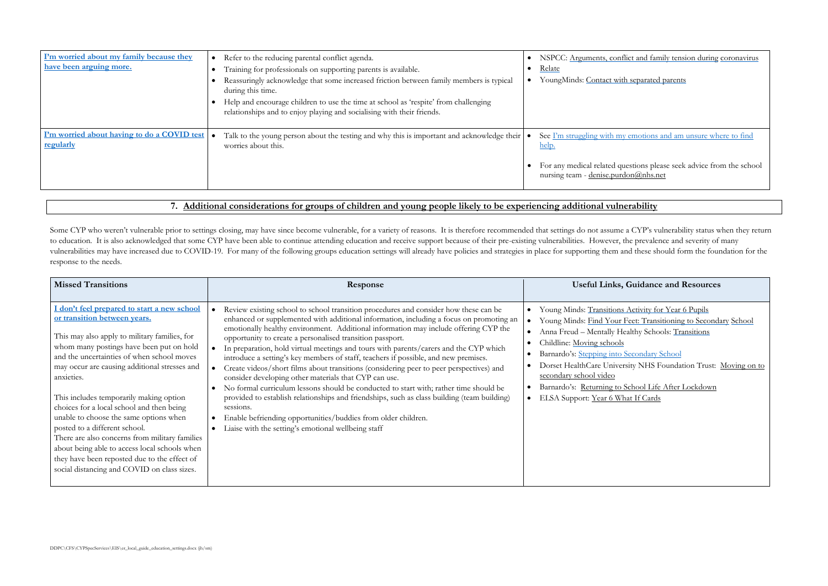flict and family tension during [coronavirus](https://www.nspcc.org.uk/keeping-children-safe/support-for-parents/arguments-conflict-family-tension-coronavirus-lockdown/)

th separated parents

y emotions and am unsure where to find

uestions please seek advice from the school don@nhs.net

# **Guidance and Resources**

Activity for Year 6 Pupils Feet: Transitioning to Secondary [School](https://youngminds.org.uk/resources/school-resources/find-your-feet-transitioning-to-secondary-school/) althy Schools: [Transitions](https://www.mentallyhealthyschools.org.uk/risks-and-protective-factors/school-based-risk-factors/transitions/?searchTerm=school+transition)

**Secondary School** sity NHS Foundation Trust: Moving on to

School Life After Lockdown at If Cards

<span id="page-13-1"></span><span id="page-13-0"></span>

| I'm worried about my family because they<br>have been arguing more. | Refer to the reducing parental conflict agenda.<br>Training for professionals on supporting parents is available.<br>Reassuringly acknowledge that some increased friction between family members is typical<br>during this time.<br>Help and encourage children to use the time at school as 'respite' from challenging<br>relationships and to enjoy playing and socialising with their friends. | NSPCC: Arguments, confl<br>Relate<br>YoungMinds: Contact with                                   |
|---------------------------------------------------------------------|----------------------------------------------------------------------------------------------------------------------------------------------------------------------------------------------------------------------------------------------------------------------------------------------------------------------------------------------------------------------------------------------------|-------------------------------------------------------------------------------------------------|
| I'm worried about having to do a COVID test<br>regularly            | Talk to the young person about the testing and why this is important and acknowledge their  <br>worries about this.                                                                                                                                                                                                                                                                                | See I'm struggling with my<br>help.<br>For any medical related qu<br>nursing team - denise.purd |

<span id="page-13-2"></span>Some CYP who weren't vulnerable prior to settings closing, may have since become vulnerable, for a variety of reasons. It is therefore recommended that settings do not assume a CYP's vulnerability status when they return to education. It is also acknowledged that some CYP have been able to continue attending education and receive support because of their pre-existing vulnerabilities. However, the prevalence and severity of many vulnerabilities may have increased due to COVID-19. For many of the following groups education settings will already have policies and strategies in place for supporting them and these should form the foundation for the response to the needs.

# **7. [Additional considerations for groups of children and young people likely to be experiencing additional vulnerability](#page-0-6)**

<span id="page-13-3"></span>

| <b>Missed Transitions</b>                                                                                                                                                                                                                                                                                                                                                                                                                                                                                                                                                                                                                                  | Response                                                                                                                                                                                                                                                                                                                                                                                                                                                                                                                                                                                                                                                                                                                                                                                                                                                                                                                                                                                              | <b>Useful Links, 0</b>                                                                                                                                                                                                                                           |
|------------------------------------------------------------------------------------------------------------------------------------------------------------------------------------------------------------------------------------------------------------------------------------------------------------------------------------------------------------------------------------------------------------------------------------------------------------------------------------------------------------------------------------------------------------------------------------------------------------------------------------------------------------|-------------------------------------------------------------------------------------------------------------------------------------------------------------------------------------------------------------------------------------------------------------------------------------------------------------------------------------------------------------------------------------------------------------------------------------------------------------------------------------------------------------------------------------------------------------------------------------------------------------------------------------------------------------------------------------------------------------------------------------------------------------------------------------------------------------------------------------------------------------------------------------------------------------------------------------------------------------------------------------------------------|------------------------------------------------------------------------------------------------------------------------------------------------------------------------------------------------------------------------------------------------------------------|
| I don't feel prepared to start a new school<br>or transition between years.<br>This may also apply to military families, for<br>whom many postings have been put on hold<br>and the uncertainties of when school moves<br>may occur are causing additional stresses and<br>anxieties.<br>This includes temporarily making option<br>choices for a local school and then being<br>unable to choose the same options when<br>posted to a different school.<br>There are also concerns from military families<br>about being able to access local schools when<br>they have been reposted due to the effect of<br>social distancing and COVID on class sizes. | Review existing school to school transition procedures and consider how these can be<br>enhanced or supplemented with additional information, including a focus on promoting an<br>emotionally healthy environment. Additional information may include offering CYP the<br>opportunity to create a personalised transition passport.<br>In preparation, hold virtual meetings and tours with parents/carers and the CYP which<br>introduce a setting's key members of staff, teachers if possible, and new premises.<br>Create videos/short films about transitions (considering peer to peer perspectives) and<br>consider developing other materials that CYP can use.<br>No formal curriculum lessons should be conducted to start with; rather time should be<br>provided to establish relationships and friendships, such as class building (team building)<br>sessions.<br>Enable befriending opportunities/buddies from older children.<br>Liaise with the setting's emotional wellbeing staff | Young Minds: Transitions /<br>Young Minds: Find Your F<br>Anna Freud - Mentally Hea<br>Childline: Moving schools<br>Barnardo's: Stepping into S<br>Dorset HealthCare Univers<br>secondary school video<br>Barnardo's: Returning to S<br>ELSA Support: Year 6 Wha |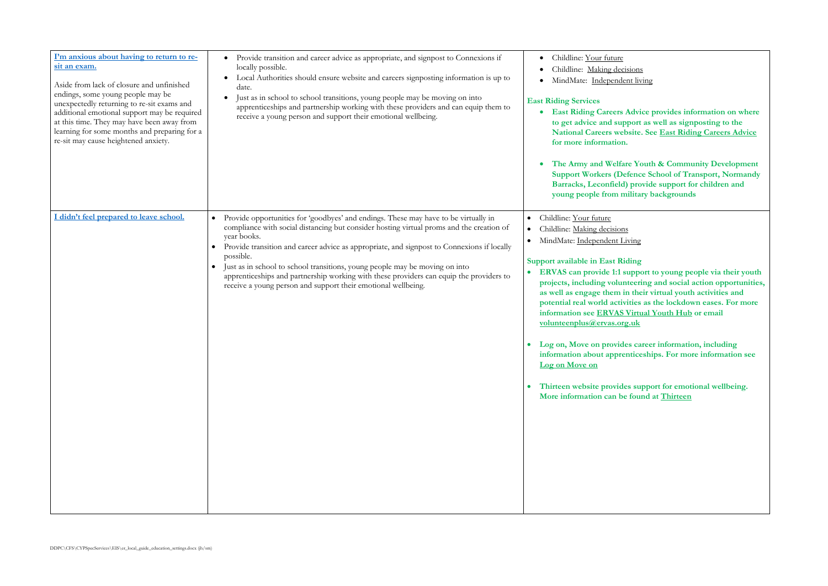<u>isions</u> nt living

Advice provides information on where **the get as well as signposting to the National Careers Advice** 

**The Youth & Community Development Support Algebra School of Transport, Normandy Barracks, Leconfield) provide support for children and young people from military backgrounds**

.<br><u>iving</u>

### **Support in East Ridge in**

 **ERVAS can provide 1:1 support to young people via their youth projects, including volunteering and social action opportunities, as well as engage them in their virtual youth activities and potential real world activities as the lockdown eases. For more information System System System** System System <u>v.uk</u>

**Les career information, including information about apprenticeships. For more information see**

**The Support for emotional wellbeing.** found at **Thirteen** 

<span id="page-14-1"></span><span id="page-14-0"></span>

| I'm anxious about having to return to re-<br>sit an exam.<br>Aside from lack of closure and unfinished<br>endings, some young people may be<br>unexpectedly returning to re-sit exams and<br>additional emotional support may be required<br>at this time. They may have been away from<br>learning for some months and preparing for a<br>re-sit may cause heightened anxiety. | Provide transition and career advice as appropriate, and signpost to Connexions if<br>locally possible.<br>Local Authorities should ensure website and careers signposting information is up to<br>date.<br>Just as in school to school transitions, young people may be moving on into<br>apprenticeships and partnership working with these providers and can equip them to<br>receive a young person and support their emotional wellbeing.                                                                                                                    | Childline: Your future<br>$\bullet$<br>Childline: Making decis<br>MindMate: Independen<br><b>East Riding Services</b><br><b>East Riding Careers A</b><br>to get advice and supp<br><b>National Careers webs</b><br>for more information.<br>The Army and Welfare<br><b>Support Workers (Def</b><br><b>Barracks, Leconfield)</b><br>young people from mi                                                                                                           |
|---------------------------------------------------------------------------------------------------------------------------------------------------------------------------------------------------------------------------------------------------------------------------------------------------------------------------------------------------------------------------------|-------------------------------------------------------------------------------------------------------------------------------------------------------------------------------------------------------------------------------------------------------------------------------------------------------------------------------------------------------------------------------------------------------------------------------------------------------------------------------------------------------------------------------------------------------------------|-------------------------------------------------------------------------------------------------------------------------------------------------------------------------------------------------------------------------------------------------------------------------------------------------------------------------------------------------------------------------------------------------------------------------------------------------------------------|
| didn't feel prepared to leave school.                                                                                                                                                                                                                                                                                                                                           | Provide opportunities for 'goodbyes' and endings. These may have to be virtually in<br>$\bullet$<br>compliance with social distancing but consider hosting virtual proms and the creation of<br>year books.<br>Provide transition and career advice as appropriate, and signpost to Connexions if locally<br>possible.<br>Just as in school to school transitions, young people may be moving on into<br>apprenticeships and partnership working with these providers can equip the providers to<br>receive a young person and support their emotional wellbeing. | Childline: Your future<br>$\bullet$<br>Childline: Making decisions<br>MindMate: Independent Liv<br>$\bullet$<br>Support available in East Rid<br><b>ERVAS</b> can provide 1:1 su<br>projects, including volunt<br>as well as engage them in<br>potential real world activi<br>information see ERVAS V<br>volunteenplus@ervas.org<br>Log on, Move on provide<br>information about appren<br>Log on Move on<br>Thirteen website provides<br>More information can be |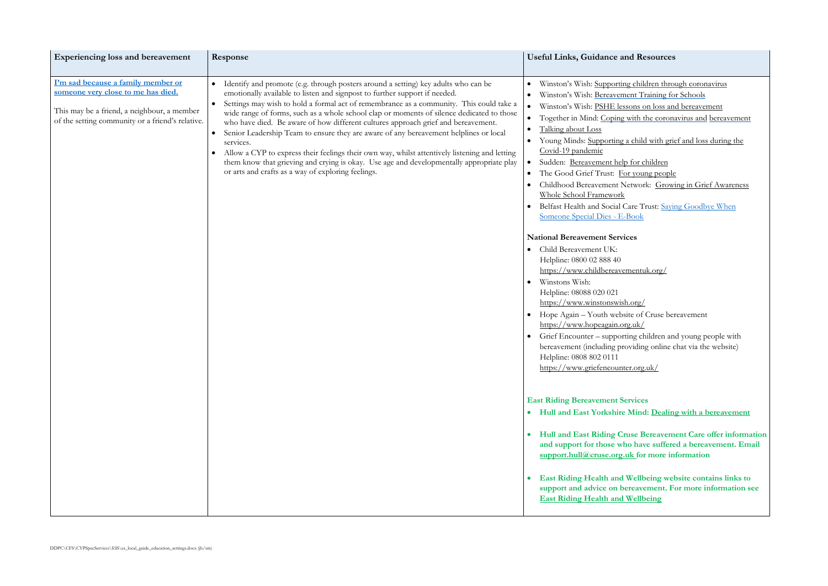g children through coronavirus ent Training for Schools ons on loss and bereavement with the coronavirus and [bereavement](https://togetherinmind.nhs.uk/wp-content/uploads/2020/04/Oxford-Health-Coronavirus-and-Bereavement-Copy-Copy.pdf)

a child with grief and loss during the

of or children <u>r young people</u> etwork: Growing in Grief Awareness

are Trust: Saying Goodbye When Book

 $\text{org}/$ te of Cruse bereavement  $g.uk/$ ing children and young people with between online chat via the website)

# **Exices**

**Mind: [Dealing with a bereavement](https://www.heymind.org.uk/how-we-can-help/one-to-one-support-2/people-experiencing-a-bereavement/)** 

**Hulle Bereavement Care offer information a** have suffered a bereavement. Email **ik** for more information

**Wellbeing website contains links to streavement. For more information see East** Ridder

<span id="page-15-0"></span>

| <b>Experiencing loss and bereavement</b>                                                                                                                                    | Response                                                                                                                                                                                                                                                                                                                                                                                                                                                                                                                                                                                                                                                                                                                                                                                                            | <b>Useful Links, Guidance and Resources</b>                                                                                                                                                                                                                                                                                                                                                                                                                                                                                                                                                                                 |
|-----------------------------------------------------------------------------------------------------------------------------------------------------------------------------|---------------------------------------------------------------------------------------------------------------------------------------------------------------------------------------------------------------------------------------------------------------------------------------------------------------------------------------------------------------------------------------------------------------------------------------------------------------------------------------------------------------------------------------------------------------------------------------------------------------------------------------------------------------------------------------------------------------------------------------------------------------------------------------------------------------------|-----------------------------------------------------------------------------------------------------------------------------------------------------------------------------------------------------------------------------------------------------------------------------------------------------------------------------------------------------------------------------------------------------------------------------------------------------------------------------------------------------------------------------------------------------------------------------------------------------------------------------|
| I'm sad because a family member or<br>someone very close to me has died.<br>This may be a friend, a neighbour, a member<br>of the setting community or a friend's relative. | Identify and promote (e.g. through posters around a setting) key adults who can be<br>emotionally available to listen and signpost to further support if needed.<br>Settings may wish to hold a formal act of remembrance as a community. This could take a<br>wide range of forms, such as a whole school clap or moments of silence dedicated to those<br>who have died. Be aware of how different cultures approach grief and bereavement.<br>Senior Leadership Team to ensure they are aware of any bereavement helplines or local<br>services.<br>Allow a CYP to express their feelings their own way, whilst attentively listening and letting<br>$\bullet$<br>them know that grieving and crying is okay. Use age and developmentally appropriate play<br>or arts and crafts as a way of exploring feelings. | Winston's Wish: Supporting children thro<br>Winston's Wish: Bereavement Training fo<br>Winston's Wish: PSHE lessons on loss an<br>$\bullet$<br>Together in Mind: Coping with the coron<br>Talking about Loss<br>Young Minds: Supporting a child with grid<br>Covid-19 pandemic<br>Sudden: Bereavement help for children<br>$\bullet$<br>The Good Grief Trust: For young people<br>Childhood Bereavement Network: Grow<br>Whole School Framework<br>Belfast Health and Social Care Trust: Sayi<br>Someone Special Dies - E-Book<br><b>National Bereavement Services</b><br>Child Bereavement UK:<br>Helpline: 0800 02 888 40 |
|                                                                                                                                                                             |                                                                                                                                                                                                                                                                                                                                                                                                                                                                                                                                                                                                                                                                                                                                                                                                                     | https://www.childbereavementuk.org/<br>Winstons Wish:<br>Helpline: 08088 020 021<br>https://www.winstonswish.org/<br>Hope Again – Youth website of Cruse bea<br>https://www.hopeagain.org.uk/<br>Grief Encounter – supporting children an<br>bereavement (including providing online<br>Helpline: 0808 802 0111<br>https://www.griefencounter.org.uk/                                                                                                                                                                                                                                                                       |
|                                                                                                                                                                             |                                                                                                                                                                                                                                                                                                                                                                                                                                                                                                                                                                                                                                                                                                                                                                                                                     | <b>East Riding Bereavement Services</b><br>Hull and East Yorkshire Mind: Dealin<br><b>Hull and East Riding Cruse Bereavem</b><br>and support for those who have suffere<br>support.hull@cruse.org.uk for more in<br><b>East Riding Health and Wellbeing well</b><br>support and advice on bereavement. F<br><b>East Riding Health and Wellbeing</b>                                                                                                                                                                                                                                                                         |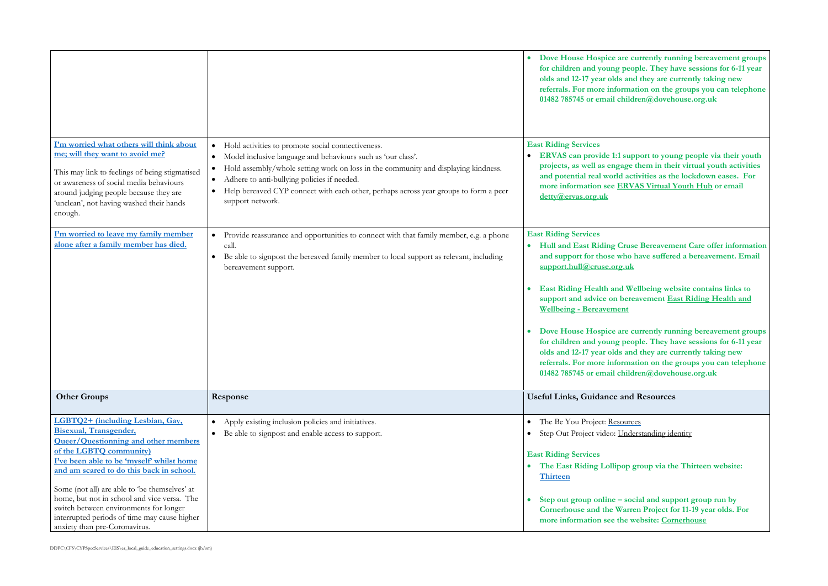**Preferently running bereavement groups for formula for children and young people. They have sessions for 6-11 year** and they are currently taking new **rmation on the groups you can telephone 01482 785745 or email children@dovehouse.org.uk**

support to young people via their youth **project shares** in their virtual youth activities **activities as the lockdown eases. For RVAS Virtual Youth Hub** or email

**Hulle Bereavement Care offer information ho have suffered a bereavement. Email support[.hull@cruse.org.uk](mailto:hull@cruse.org.uk)**

**EXECUTE: EXECUTE: EXECUTE: EXECUTE: EXECUTE: EXECUTE:**  $\frac{1}{2}$ **support Conservanty East Riding Health and** 

re currently running bereavement groups **for formula for children and young people. They have sessions for 6-11 year** and they are currently taking new **rmation on the groups you can telephone 01482 785745 or email children@dovehouse.org.uk**

ources Inderstanding identity

op group via the Thirteen website:

**social and support group run by Corren Project for 11-19 year olds. For mergentle information see the website:** Cornerhouse

<span id="page-16-2"></span><span id="page-16-1"></span><span id="page-16-0"></span>

|                                                                                                                                                                                                                                                                                                                                                                         |                                                                                                                                                                                                                                                                                                                                                                                                           | Dove House Hospice are currently run<br>$\bullet$<br>for children and young people. They h<br>olds and 12-17 year olds and they are co<br>referrals. For more information on the<br>01482 785745 or email children@doveh                                                                                                                                                                                                                                                                     |
|-------------------------------------------------------------------------------------------------------------------------------------------------------------------------------------------------------------------------------------------------------------------------------------------------------------------------------------------------------------------------|-----------------------------------------------------------------------------------------------------------------------------------------------------------------------------------------------------------------------------------------------------------------------------------------------------------------------------------------------------------------------------------------------------------|----------------------------------------------------------------------------------------------------------------------------------------------------------------------------------------------------------------------------------------------------------------------------------------------------------------------------------------------------------------------------------------------------------------------------------------------------------------------------------------------|
| I'm worried what others will think about<br>me; will they want to avoid me?<br>This may link to feelings of being stigmatised<br>or awareness of social media behaviours<br>around judging people because they are<br>'unclean', not having washed their hands<br>enough.                                                                                               | Hold activities to promote social connectiveness.<br>$\bullet$<br>Model inclusive language and behaviours such as 'our class'.<br>$\bullet$<br>Hold assembly/whole setting work on loss in the community and displaying kindness.<br>$\bullet$<br>Adhere to anti-bullying policies if needed.<br>Help bereaved CYP connect with each other, perhaps across year groups to form a peer<br>support network. | <b>East Riding Services</b><br>ERVAS can provide 1:1 support to your<br>projects, as well as engage them in the<br>and potential real world activities as th<br>more information see ERVAS Virtual Y<br>detty@ervas.org.uk                                                                                                                                                                                                                                                                   |
| I'm worried to leave my family member<br>alone after a family member has died.                                                                                                                                                                                                                                                                                          | Provide reassurance and opportunities to connect with that family member, e.g. a phone<br>$\bullet$<br>call.<br>Be able to signpost the bereaved family member to local support as relevant, including<br>$\bullet$<br>bereavement support.                                                                                                                                                               | <b>East Riding Services</b><br><b>Hull and East Riding Cruse Bereavem</b><br>and support for those who have suffere<br>support.hull@cruse.org.uk<br><b>East Riding Health and Wellbeing well</b><br>support and advice on bereavement $E_3$<br><b>Wellbeing - Bereavement</b><br>Dove House Hospice are currently run<br>for children and young people. They h<br>olds and 12-17 year olds and they are co<br>referrals. For more information on the<br>01482 785745 or email children@doveh |
| <b>Other Groups</b>                                                                                                                                                                                                                                                                                                                                                     | Response                                                                                                                                                                                                                                                                                                                                                                                                  | <b>Useful Links, Guidance and Resources</b>                                                                                                                                                                                                                                                                                                                                                                                                                                                  |
| LGBTQ2+ (including Lesbian, Gay,<br>Bisexual, Transgender,<br><b>Queer/Questionning and other members</b><br>of the LGBTQ community)<br>I've been able to be 'myself' whilst home<br>and am scared to do this back in school.<br>Some (not all) are able to 'be themselves' at<br>home, but not in school and vice versa. The<br>switch between environments for longer | Apply existing inclusion policies and initiatives.<br>Be able to signpost and enable access to support.                                                                                                                                                                                                                                                                                                   | The Be You Project: Resources<br>$\bullet$<br>Step Out Project video: Understanding ide<br><b>East Riding Services</b><br>The East Riding Lollipop group via th<br>Thirteen<br>Step out group online – social and sup                                                                                                                                                                                                                                                                        |
| interrupted periods of time may cause higher<br>anxiety than pre-Coronavirus.                                                                                                                                                                                                                                                                                           |                                                                                                                                                                                                                                                                                                                                                                                                           | <b>Cornerhouse and the Warren Project for</b><br>more information see the website: Cor.                                                                                                                                                                                                                                                                                                                                                                                                      |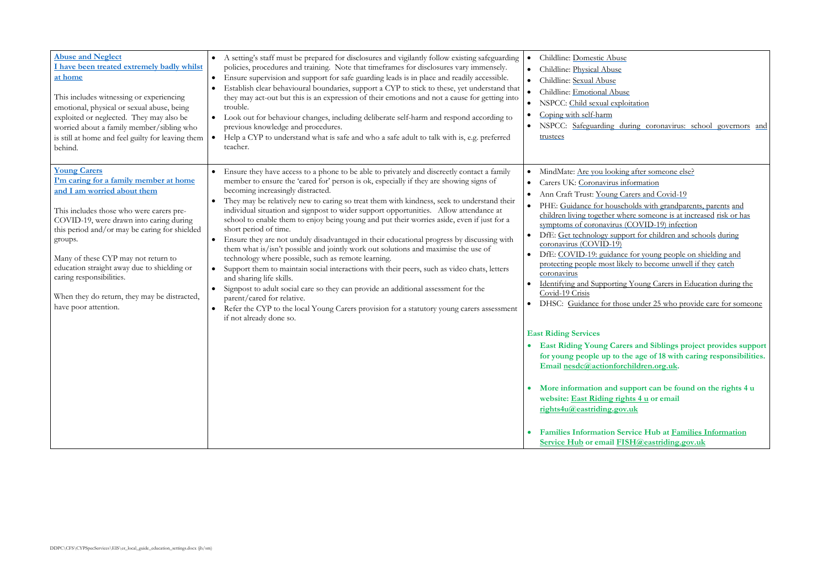# oitation

uring coronavirus: school governors and

ng after someone else? formation arers and Covid-19 • PHE: [Guidance for households with grandparents, parents](https://www.gov.uk/government/publications/covid-19-stay-at-home-guidance/guidance-for-households-with-grandparents-parents-and-children-living-together-where-someone-is-at-increased-risk-or-has-symptoms-of-coronavirus-cov#163961_20200504102717) and [children living together where someone is at increased](https://www.gov.uk/government/publications/covid-19-stay-at-home-guidance/guidance-for-households-with-grandparents-parents-and-children-living-together-where-someone-is-at-increased-risk-or-has-symptoms-of-coronavirus-cov#163961_20200504102717) risk or has  $(COVID-19)$  infection port for children and schools during

DfE: [COVID-19: guidance for young people on shielding and](https://www.gov.uk/government/publications/guidance-on-shielding-and-protecting-extremely-vulnerable-persons-from-covid-19/covid-19-guidance-on-protecting-people-most-likely-to-get-unwell-from-coronavirus-shielding-young-peoples-version#163961_20200511053302) [protecting people most likely to become unwell if they](https://www.gov.uk/government/publications/guidance-on-shielding-and-protecting-extremely-vulnerable-persons-from-covid-19/covid-19-guidance-on-protecting-people-most-likely-to-get-unwell-from-coronavirus-shielding-young-peoples-version#163961_20200511053302) catch

If Young Carers in Education during the

se under 25 who provide care for someone

**East Ridding Project provides support for young people up to the age of 18 with caring responsibilities.**   $children.org.uk.$ 

<span id="page-17-1"></span><span id="page-17-0"></span>

| <b>Abuse and Neglect</b><br>I have been treated extremely badly whilst<br>at home<br>This includes witnessing or experiencing<br>emotional, physical or sexual abuse, being<br>exploited or neglected. They may also be<br>worried about a family member/sibling who<br>is still at home and feel guilty for leaving them<br>behind.<br><b>Young Carers</b>                                                        | A setting's staff must be prepared for disclosures and vigilantly follow existing safeguarding<br>policies, procedures and training. Note that timeframes for disclosures vary immensely.<br>Ensure supervision and support for safe guarding leads is in place and readily accessible.<br>$\bullet$<br>Establish clear behavioural boundaries, support a CYP to stick to these, yet understand that<br>they may act-out but this is an expression of their emotions and not a cause for getting into<br>trouble.<br>Look out for behaviour changes, including deliberate self-harm and respond according to<br>$\bullet$<br>previous knowledge and procedures.<br>Help a CYP to understand what is safe and who a safe adult to talk with is, e.g. preferred<br>$\bullet$<br>teacher.<br>Ensure they have access to a phone to be able to privately and discreetly contact a family<br>$\bullet$                                                                                                                                                                                    | Childline: Domestic Abuse<br>Childline: Physical Abuse<br>Childline: Sexual Abuse<br>Childline: Emotional Abuse<br>$\bullet$<br>NSPCC: Child sexual explo<br>$\bullet$<br>Coping with self-harm<br>NSPCC: Safeguarding dui<br>trustees<br>MindMate: Are you looking                                                                                                           |
|--------------------------------------------------------------------------------------------------------------------------------------------------------------------------------------------------------------------------------------------------------------------------------------------------------------------------------------------------------------------------------------------------------------------|--------------------------------------------------------------------------------------------------------------------------------------------------------------------------------------------------------------------------------------------------------------------------------------------------------------------------------------------------------------------------------------------------------------------------------------------------------------------------------------------------------------------------------------------------------------------------------------------------------------------------------------------------------------------------------------------------------------------------------------------------------------------------------------------------------------------------------------------------------------------------------------------------------------------------------------------------------------------------------------------------------------------------------------------------------------------------------------|-------------------------------------------------------------------------------------------------------------------------------------------------------------------------------------------------------------------------------------------------------------------------------------------------------------------------------------------------------------------------------|
| I'm caring for a family member at home<br>and I am worried about them<br>This includes those who were carers pre-<br>COVID-19, were drawn into caring during<br>this period and/or may be caring for shielded<br>groups.<br>Many of these CYP may not return to<br>education straight away due to shielding or<br>caring responsibilities.<br>When they do return, they may be distracted,<br>have poor attention. | member to ensure the 'cared for' person is ok, especially if they are showing signs of<br>becoming increasingly distracted.<br>They may be relatively new to caring so treat them with kindness, seek to understand their<br>individual situation and signpost to wider support opportunities. Allow attendance at<br>school to enable them to enjoy being young and put their worries aside, even if just for a<br>short period of time.<br>Ensure they are not unduly disadvantaged in their educational progress by discussing with<br>them what is/isn't possible and jointly work out solutions and maximise the use of<br>technology where possible, such as remote learning.<br>Support them to maintain social interactions with their peers, such as video chats, letters<br>and sharing life skills.<br>Signpost to adult social care so they can provide an additional assessment for the<br>$\bullet$<br>parent/cared for relative.<br>Refer the CYP to the local Young Carers provision for a statutory young carers assessment<br>$\bullet$<br>if not already done so. | Carers UK: Coronavirus inf<br>Ann Craft Trust: Young Ca<br>PHE: Guidance for househ<br>children living together whe<br>symptoms of coronavirus (0)<br>DfE: Get technology suppo<br>coronavirus (COVID-19)<br>DfE: COVID-19: guidance<br>$\bullet$<br>protecting people most likel<br>coronavirus<br>Identifying and Supporting<br>Covid-19 Crisis<br>DHSC: Guidance for those |
|                                                                                                                                                                                                                                                                                                                                                                                                                    |                                                                                                                                                                                                                                                                                                                                                                                                                                                                                                                                                                                                                                                                                                                                                                                                                                                                                                                                                                                                                                                                                      | <b>East Riding Services</b><br>• East Riding Young Carer<br>for young people up to th<br>Email nesdc@actionforcl<br>More information and sup<br>website: East Riding righ<br>rights4u@eastriding.gov.<br><b>Families Information Ser</b><br><b>Service Hub or email FIS</b>                                                                                                   |

 **More information and support can be found on the rights 4 u website: [East Riding rights 4 u](http://www.rights4u.org.uk/) or email**  <u>r.uk</u>

 **Families Information Service Hub at [Families Information](https://www.eastriding.gov.uk/living/children-and-families/the-family-information-service-hub/)  [Service Hub](https://www.eastriding.gov.uk/living/children-and-families/the-family-information-service-hub/) or email [FISH@eastriding.gov.uk](mailto:FISH@eastriding.gov.uk)**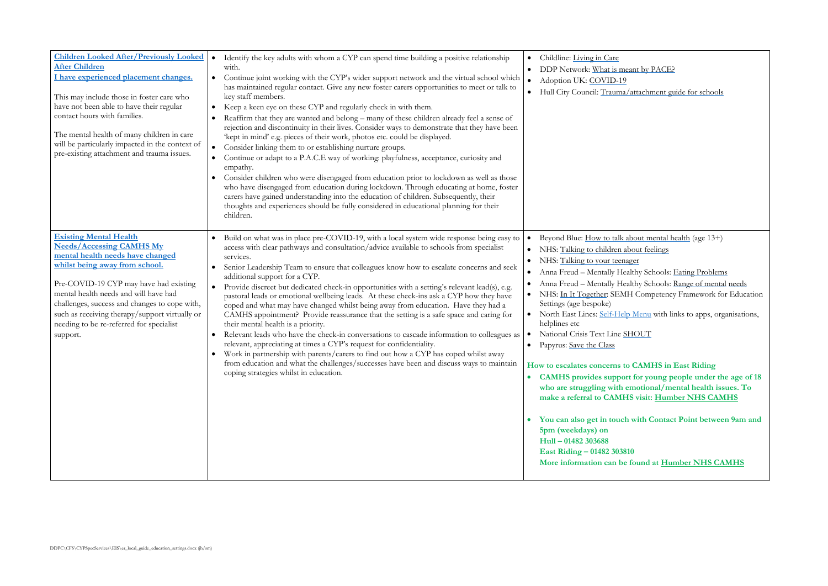eant by PACE?  $\frac{h}{\text{1}}$  attachment guide for schools

about mental health (age 13+) about feelings nder <u>i</u> ealthy Schools: [Eating Problems](https://www.mentallyhealthyschools.org.uk/mental-health-needs/eating-problems/) ealthy Schools: [Range of mental](https://www.mentallyhealthyschools.org.uk/mental-health-needs/) [needs](https://www.mentallyhealthyschools.org.uk/mental-health-needs/) IH Competency Framework for Education

Ip Menu with links to apps, organisations,

SHOUT

**How CAMHS in East Riding CAMHS provides support for young people under the age of 18 emotional/mental health issues. To HS visit: [Humber NHS CAMHS](https://camhs.humber.nhs.uk/professionals/#2)** 

**When Contact Point between 9am and** 

**found at [Humber NHS CAMHS](https://camhs.humber.nhs.uk/)** 

<span id="page-18-1"></span><span id="page-18-0"></span>

| <b>Children Looked After/Previously Looked</b><br><b>After Children</b><br>I have experienced placement changes.<br>This may include those in foster care who<br>have not been able to have their regular<br>contact hours with families.<br>The mental health of many children in care<br>will be particularly impacted in the context of<br>pre-existing attachment and trauma issues. | Identify the key adults with whom a CYP can spend time building a positive relationship<br>$\bullet$<br>with.<br>Continue joint working with the CYP's wider support network and the virtual school which<br>$\bullet$<br>has maintained regular contact. Give any new foster carers opportunities to meet or talk to<br>key staff members.<br>Keep a keen eye on these CYP and regularly check in with them.<br>Reaffirm that they are wanted and belong – many of these children already feel a sense of<br>rejection and discontinuity in their lives. Consider ways to demonstrate that they have been<br>'kept in mind' e.g. pieces of their work, photos etc. could be displayed.<br>Consider linking them to or establishing nurture groups.<br>$\bullet$<br>Continue or adapt to a P.A.C.E way of working: playfulness, acceptance, curiosity and<br>$\bullet$<br>empathy.<br>Consider children who were disengaged from education prior to lockdown as well as those<br>who have disengaged from education during lockdown. Through educating at home, foster<br>carers have gained understanding into the education of children. Subsequently, their<br>thoughts and experiences should be fully considered in educational planning for their<br>children. | Childline: Living in Care<br>$\bullet$<br>DDP Network: What is mean<br>Adoption UK: COVID-19<br>$\bullet$<br>Hull City Council: Trauma/a<br>$\bullet$                                                                                                                                                                                                                                                                                                                                                                                                                                                                                                                                      |
|------------------------------------------------------------------------------------------------------------------------------------------------------------------------------------------------------------------------------------------------------------------------------------------------------------------------------------------------------------------------------------------|----------------------------------------------------------------------------------------------------------------------------------------------------------------------------------------------------------------------------------------------------------------------------------------------------------------------------------------------------------------------------------------------------------------------------------------------------------------------------------------------------------------------------------------------------------------------------------------------------------------------------------------------------------------------------------------------------------------------------------------------------------------------------------------------------------------------------------------------------------------------------------------------------------------------------------------------------------------------------------------------------------------------------------------------------------------------------------------------------------------------------------------------------------------------------------------------------------------------------------------------------------------------|--------------------------------------------------------------------------------------------------------------------------------------------------------------------------------------------------------------------------------------------------------------------------------------------------------------------------------------------------------------------------------------------------------------------------------------------------------------------------------------------------------------------------------------------------------------------------------------------------------------------------------------------------------------------------------------------|
| <b>Existing Mental Health</b><br><b>Needs/Accessing CAMHS My</b><br>mental health needs have changed<br>whilst being away from school.<br>Pre-COVID-19 CYP may have had existing<br>mental health needs and will have had<br>challenges, success and changes to cope with,<br>such as receiving therapy/support virtually or<br>needing to be re-referred for specialist<br>support.     | Build on what was in place pre-COVID-19, with a local system wide response being easy to<br>access with clear pathways and consultation/advice available to schools from specialist<br>services.<br>Senior Leadership Team to ensure that colleagues know how to escalate concerns and seek<br>$\bullet$<br>additional support for a CYP.<br>Provide discreet but dedicated check-in opportunities with a setting's relevant lead(s), e.g.<br>pastoral leads or emotional wellbeing leads. At these check-ins ask a CYP how they have<br>coped and what may have changed whilst being away from education. Have they had a<br>CAMHS appointment? Provide reassurance that the setting is a safe space and caring for<br>their mental health is a priority.<br>Relevant leads who have the check-in conversations to cascade information to colleagues as<br>relevant, appreciating at times a CYP's request for confidentiality.<br>Work in partnership with parents/carers to find out how a CYP has coped whilst away<br>from education and what the challenges/successes have been and discuss ways to maintain<br>coping strategies whilst in education.                                                                                                         | Beyond Blue: How to talk ab<br>$\bullet$<br>NHS: Talking to children abo<br>$\bullet$<br>NHS: Talking to your teenage<br>$\bullet$<br>Anna Freud - Mentally Healt<br>$\bullet$<br>Anna Freud - Mentally Healt<br>$\bullet$<br>NHS: In It Together: SEMH<br>Settings (age bespoke)<br>North East Lincs: Self-Help I<br>helplines etc<br>National Crisis Text Line SH<br>$\bullet$<br>Papyrus: Save the Class<br>How to escalates concerns to<br><b>CAMHS</b> provides support<br>$\bullet$<br>who are struggling with en<br>make a referral to CAMHS<br>You can also get in touch v<br>5pm (weekdays) on<br>Hull - 01482 303688<br>East Riding - 01482 303810<br>More information can be fo |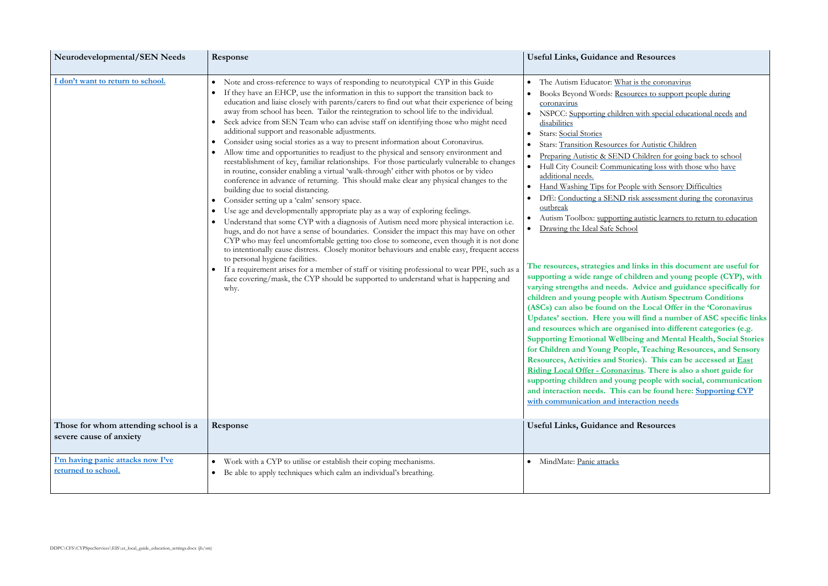at is the coronavirus sources to support people during

ren with special educational needs and

s for Autistic Children D Children for going back to [school](https://www.schudio.tv/courses/preparing-autistic-send-children-for-going-back-to-school) inicating loss with those who have

eople with Sensory Difficulties risk assessment during the coronavirus

ng autistic learners to return to education nool

**The resources are in this document are useful for** children and young people (CYP), with Advice and guidance specifically for **children Spectrum Conditions (the Local Offer in the 'Coronavirus** will find a number of ASC specific links **anised into different categories (e.g. Supporting and Mental Health, Social Stories for Children and Sensory**  *for Cheching Resources, and Sensory* **Resources Resources Resources Resources Resources Resources Resources Resources Resources Resources Resources Resources Resources Resources Resources Resources <u>Riding</u> Riding There is also a short guide for supporting children and young people with social, communication and be found here:** Supporting CYP **teraction needs** 

<span id="page-19-1"></span><span id="page-19-0"></span>

| Neurodevelopmental/SEN Needs                                    | Response                                                                                                                                                                                                                                                                                                                                                                                                                                                                                                                                                                                                                                                                                                                                                                                                                                                                                                                                                                                                                                                                                                                                                                                                                                                                                                                                                                                                                                                                                                                                                                                                                                                                                                                                                                                                    | <b>Useful Links, Guidance and Resources</b>                                                                                                                                                                                                                                                                                                                                                                                                                                                                                                                                                                                                                                                                                                                                                                                                                                                                                                                                                                                                                                                                                                                                                                                                   |
|-----------------------------------------------------------------|-------------------------------------------------------------------------------------------------------------------------------------------------------------------------------------------------------------------------------------------------------------------------------------------------------------------------------------------------------------------------------------------------------------------------------------------------------------------------------------------------------------------------------------------------------------------------------------------------------------------------------------------------------------------------------------------------------------------------------------------------------------------------------------------------------------------------------------------------------------------------------------------------------------------------------------------------------------------------------------------------------------------------------------------------------------------------------------------------------------------------------------------------------------------------------------------------------------------------------------------------------------------------------------------------------------------------------------------------------------------------------------------------------------------------------------------------------------------------------------------------------------------------------------------------------------------------------------------------------------------------------------------------------------------------------------------------------------------------------------------------------------------------------------------------------------|-----------------------------------------------------------------------------------------------------------------------------------------------------------------------------------------------------------------------------------------------------------------------------------------------------------------------------------------------------------------------------------------------------------------------------------------------------------------------------------------------------------------------------------------------------------------------------------------------------------------------------------------------------------------------------------------------------------------------------------------------------------------------------------------------------------------------------------------------------------------------------------------------------------------------------------------------------------------------------------------------------------------------------------------------------------------------------------------------------------------------------------------------------------------------------------------------------------------------------------------------|
| I don't want to return to school.                               | Note and cross-reference to ways of responding to neurotypical CYP in this Guide<br>$\bullet$<br>If they have an EHCP, use the information in this to support the transition back to<br>education and liaise closely with parents/carers to find out what their experience of being<br>away from school has been. Tailor the reintegration to school life to the individual.<br>Seek advice from SEN Team who can advise staff on identifying those who might need<br>additional support and reasonable adjustments.<br>Consider using social stories as a way to present information about Coronavirus.<br>$\bullet$<br>Allow time and opportunities to readjust to the physical and sensory environment and<br>reestablishment of key, familiar relationships. For those particularly vulnerable to changes<br>in routine, consider enabling a virtual 'walk-through' either with photos or by video<br>conference in advance of returning. This should make clear any physical changes to the<br>building due to social distancing.<br>Consider setting up a 'calm' sensory space.<br>$\bullet$<br>Use age and developmentally appropriate play as a way of exploring feelings.<br>٠<br>Understand that some CYP with a diagnosis of Autism need more physical interaction i.e.<br>hugs, and do not have a sense of boundaries. Consider the impact this may have on other<br>CYP who may feel uncomfortable getting too close to someone, even though it is not done<br>to intentionally cause distress. Closely monitor behaviours and enable easy, frequent access<br>to personal hygiene facilities.<br>If a requirement arises for a member of staff or visiting professional to wear PPE, such as a<br>face covering/mask, the CYP should be supported to understand what is happening and<br>why. | The Autism Educator: What is the coronay<br>$\bullet$<br>Books Beyond Words: Resources to suppo<br>coronavirus<br>NSPCC: Supporting children with special of<br>$\bullet$<br>disabilities<br><b>Stars: Social Stories</b><br>Stars: Transition Resources for Autistic Ch<br>Preparing Autistic & SEND Children for g<br>Hull City Council: Communicating loss with<br>additional needs.<br>Hand Washing Tips for People with Senso<br>DfE: Conducting a SEND risk assessment<br>outbreak<br>Autism Toolbox: supporting autistic learne<br>Drawing the Ideal Safe School<br>The resources, strategies and links in this<br>supporting a wide range of children and yo<br>varying strengths and needs. Advice and g<br>children and young people with Autism Sp<br>(ASCs) can also be found on the Local Off<br>Updates' section. Here you will find a nun<br>and resources which are organised into dif<br><b>Supporting Emotional Wellbeing and Men</b><br>for Children and Young People, Teaching<br>Resources, Activities and Stories). This ca<br><b>Riding Local Offer - Coronavirus. There is</b><br>supporting children and young people with<br>and interaction needs. This can be found !<br>with communication and interaction needs |
| Those for whom attending school is a<br>severe cause of anxiety | Response                                                                                                                                                                                                                                                                                                                                                                                                                                                                                                                                                                                                                                                                                                                                                                                                                                                                                                                                                                                                                                                                                                                                                                                                                                                                                                                                                                                                                                                                                                                                                                                                                                                                                                                                                                                                    | <b>Useful Links, Guidance and Resources</b>                                                                                                                                                                                                                                                                                                                                                                                                                                                                                                                                                                                                                                                                                                                                                                                                                                                                                                                                                                                                                                                                                                                                                                                                   |
| I'm having panic attacks now I've<br>returned to school.        | Work with a CYP to utilise or establish their coping mechanisms.<br>$\bullet$<br>Be able to apply techniques which calm an individual's breathing.<br>$\bullet$                                                                                                                                                                                                                                                                                                                                                                                                                                                                                                                                                                                                                                                                                                                                                                                                                                                                                                                                                                                                                                                                                                                                                                                                                                                                                                                                                                                                                                                                                                                                                                                                                                             | MindMate: Panic attacks<br>$\bullet$                                                                                                                                                                                                                                                                                                                                                                                                                                                                                                                                                                                                                                                                                                                                                                                                                                                                                                                                                                                                                                                                                                                                                                                                          |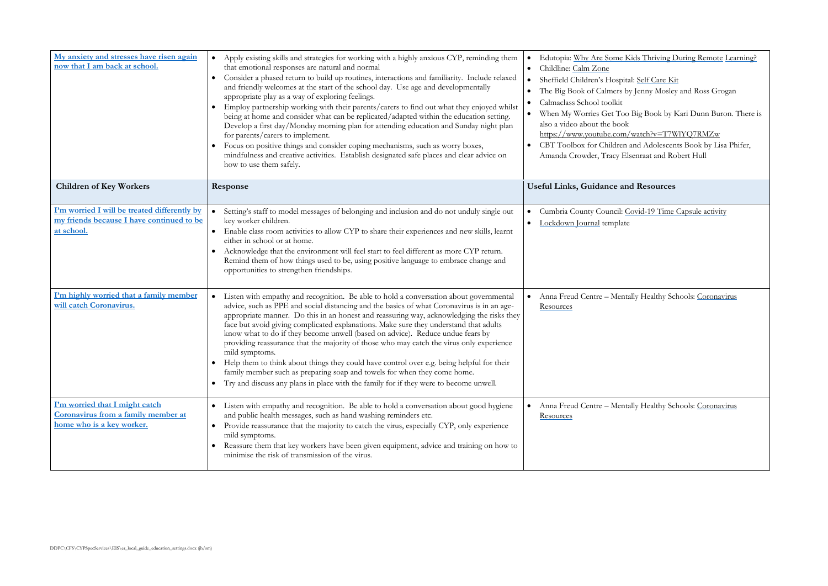Exids Thriving During Remote [Learning?](https://www.edutopia.org/article/why-are-some-kids-thriving-during-remote-learning)

oital: [Self Care Kit](https://www.sheffieldchildrens.nhs.uk/download/766/coronavirus-resources/9747/self-care-kit-covid-19.pdf) by Jenny Mosley and Ross Grogan

oo Big Book by Kari Dunn Buron. There is n/watch?v=T7WlYQ7RMZw

In and Adolescents Book by Lisa Phifer, Elsenraat and Robert Hull

Covid-19 Time Capsule activity

ntally Healthy Schools: Coronavirus

ntally Healthy Schools: Coronavirus

<span id="page-20-3"></span><span id="page-20-2"></span><span id="page-20-1"></span><span id="page-20-0"></span>

| My anxiety and stresses have risen again<br>now that I am back at school.                               | Apply existing skills and strategies for working with a highly anxious CYP, reminding them<br>$\bullet$<br>that emotional responses are natural and normal<br>Consider a phased return to build up routines, interactions and familiarity. Include relaxed<br>and friendly welcomes at the start of the school day. Use age and developmentally<br>appropriate play as a way of exploring feelings.<br>Employ partnership working with their parents/carers to find out what they enjoyed whilst<br>being at home and consider what can be replicated/adapted within the education setting.<br>Develop a first day/Monday morning plan for attending education and Sunday night plan<br>for parents/carers to implement.<br>Focus on positive things and consider coping mechanisms, such as worry boxes,<br>mindfulness and creative activities. Establish designated safe places and clear advice on<br>how to use them safely. | Edutopia: Why Are Some Kids Thriving I<br>$\bullet$<br>Childline: Calm Zone<br>$\bullet$<br>Sheffield Children's Hospital: Self Care Ki<br>$\bullet$<br>The Big Book of Calmers by Jenny Mosle<br>$\bullet$<br>Calmaclass School toolkit<br>$\bullet$<br>When My Worries Get Too Big Book by 1<br>also a video about the book<br>https://www.youtube.com/watch?v=T7V<br>CBT Toolbox for Children and Adolescer<br>Amanda Crowder, Tracy Elsenraat and Ro |
|---------------------------------------------------------------------------------------------------------|-----------------------------------------------------------------------------------------------------------------------------------------------------------------------------------------------------------------------------------------------------------------------------------------------------------------------------------------------------------------------------------------------------------------------------------------------------------------------------------------------------------------------------------------------------------------------------------------------------------------------------------------------------------------------------------------------------------------------------------------------------------------------------------------------------------------------------------------------------------------------------------------------------------------------------------|----------------------------------------------------------------------------------------------------------------------------------------------------------------------------------------------------------------------------------------------------------------------------------------------------------------------------------------------------------------------------------------------------------------------------------------------------------|
| <b>Children of Key Workers</b>                                                                          | Response                                                                                                                                                                                                                                                                                                                                                                                                                                                                                                                                                                                                                                                                                                                                                                                                                                                                                                                          | <b>Useful Links, Guidance and Resources</b>                                                                                                                                                                                                                                                                                                                                                                                                              |
| I'm worried I will be treated differently by<br>my friends because I have continued to be<br>at school. | Setting's staff to model messages of belonging and inclusion and do not unduly single out<br>key worker children.<br>Enable class room activities to allow CYP to share their experiences and new skills, learnt<br>$\bullet$<br>either in school or at home.<br>Acknowledge that the environment will feel start to feel different as more CYP return.<br>Remind them of how things used to be, using positive language to embrace change and<br>opportunities to strengthen friendships.                                                                                                                                                                                                                                                                                                                                                                                                                                        | Cumbria County Council: Covid-19 Time<br>$\bullet$<br>Lockdown Journal template                                                                                                                                                                                                                                                                                                                                                                          |
| I'm highly worried that a family member<br>will catch Coronavirus.                                      | Listen with empathy and recognition. Be able to hold a conversation about governmental<br>$\bullet$<br>advice, such as PPE and social distancing and the basics of what Coronavirus is in an age-<br>appropriate manner. Do this in an honest and reassuring way, acknowledging the risks they<br>face but avoid giving complicated explanations. Make sure they understand that adults<br>know what to do if they become unwell (based on advice). Reduce undue fears by<br>providing reassurance that the majority of those who may catch the virus only experience<br>mild symptoms.<br>• Help them to think about things they could have control over e.g. being helpful for their<br>family member such as preparing soap and towels for when they come home.<br>Try and discuss any plans in place with the family for if they were to become unwell.<br>$\bullet$                                                          | Anna Freud Centre - Mentally Healthy Sc<br>$\bullet$<br>Resources                                                                                                                                                                                                                                                                                                                                                                                        |
| I'm worried that I might catch<br>Coronavirus from a family member at<br>home who is a key worker.      | Listen with empathy and recognition. Be able to hold a conversation about good hygiene<br>$\bullet$<br>and public health messages, such as hand washing reminders etc.<br>Provide reassurance that the majority to catch the virus, especially CYP, only experience<br>mild symptoms.<br>Reassure them that key workers have been given equipment, advice and training on how to<br>$\bullet$<br>minimise the risk of transmission of the virus.                                                                                                                                                                                                                                                                                                                                                                                                                                                                                  | Anna Freud Centre - Mentally Healthy Sc<br>$\bullet$<br>Resources                                                                                                                                                                                                                                                                                                                                                                                        |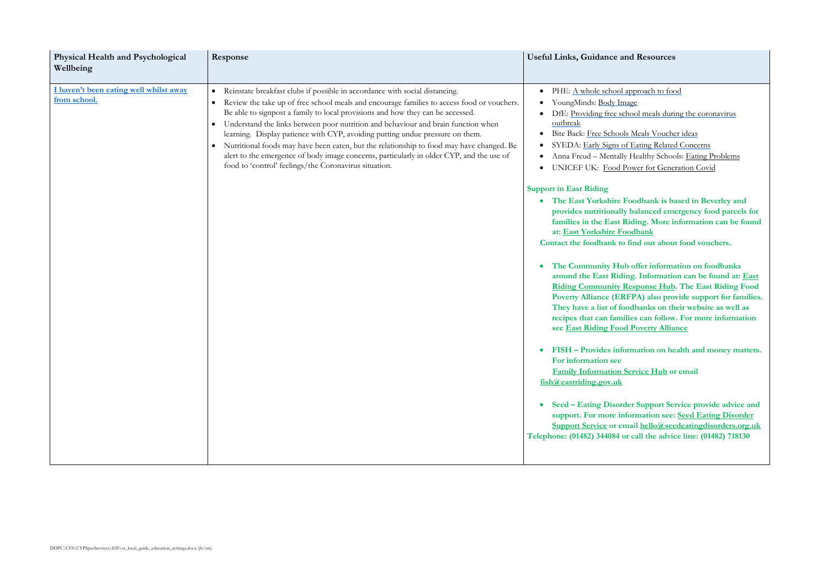pproach to food hool meals during the coronavirus

Meals Voucher ideas Eating Related Concerns Healthy Schools: [Eating Problems](https://www.mentallyhealthyschools.org.uk/mental-health-needs/eating-problems/) ower for Generation Covid

**The East Yorkshire East Serverley and balanced emergency food parcels for families** information can be found **adbank** 

find out about food vouchers.

offer information on foodbanks **around the East Riding. Information can be found at: [East](https://covid19.eastriding.gov.uk/community-hub/?utm_source=emergency.eastriding.gov.uk&utm_medium=redirect&utm_campaign=redirect?utm_source=www.eastriding.gov.uk&utm_medium=covid19_panel&utm_campaign=covid19)  <u>Riding Food</u>**<br>**Riding Food PPA**) also provide support for families. **Phencifolds** on their website as well as **real can follow. For more information Poverty Alliance** 

**FIFT FIGURE 3 interes interes interes interes. i**nteres **i**nteres.

**<u>ervice Hub</u> or email** 

**Example 1 Ease Support Service provide advice and support.** Seed Eating Disorder **[Support Service](https://seedeatingdisorders.org.uk/) or email [hello@seedeatingdisorders.org.uk](mailto:hello@seedeatingdisorders.org.uk)  The advice line: (01482) 718130** 

<span id="page-21-0"></span>

| <b>Physical Health and Psychological</b><br>Wellbeing  | Response                                                                                                                                                                                                                                                                                                                                                                                                                                                                                                                                                                                                                                                                                                                  | <b>Useful Links, Guidance and Resources</b>                                                                                                                                                                                                                                                                                                                                                                                                                                                           |
|--------------------------------------------------------|---------------------------------------------------------------------------------------------------------------------------------------------------------------------------------------------------------------------------------------------------------------------------------------------------------------------------------------------------------------------------------------------------------------------------------------------------------------------------------------------------------------------------------------------------------------------------------------------------------------------------------------------------------------------------------------------------------------------------|-------------------------------------------------------------------------------------------------------------------------------------------------------------------------------------------------------------------------------------------------------------------------------------------------------------------------------------------------------------------------------------------------------------------------------------------------------------------------------------------------------|
| I haven't been eating well whilst away<br>from school. | Reinstate breakfast clubs if possible in accordance with social distancing.<br>$\bullet$<br>Review the take up of free school meals and encourage families to access food or vouchers.<br>$\bullet$<br>Be able to signpost a family to local provisions and how they can be accessed.<br>Understand the links between poor nutrition and behaviour and brain function when<br>$\bullet$<br>learning. Display patience with CYP, avoiding putting undue pressure on them.<br>Nutritional foods may have been eaten, but the relationship to food may have changed. Be<br>alert to the emergence of body image concerns, particularly in older CYP, and the use of<br>food to 'control' feelings/the Coronavirus situation. | PHE: A whole school approach to for<br>YoungMinds: Body Image<br>DfE: Providing free school meals duri<br>outbreak<br>Bite Back: Free Schools Meals Vouche<br>SYEDA: Early Signs of Eating Related<br>Anna Freud - Mentally Healthy Schoo<br>UNICEF UK: Food Power for Gene                                                                                                                                                                                                                           |
|                                                        |                                                                                                                                                                                                                                                                                                                                                                                                                                                                                                                                                                                                                                                                                                                           | <b>Support in East Riding</b><br>The East Yorkshire Foodbank is ba<br>provides nutritionally balanced em-<br>families in the East Riding. More is<br>at: East Yorkshire Foodbank<br>Contact the foodbank to find out abou<br>The Community Hub offer informa<br>around the East Riding. Information<br><b>Riding Community Response Hub</b><br>Poverty Alliance (ERFPA) also pro<br>They have a list of foodbanks on th<br>recipes that can families can follow<br>see East Riding Food Poverty Allia |
|                                                        |                                                                                                                                                                                                                                                                                                                                                                                                                                                                                                                                                                                                                                                                                                                           | FISH - Provides information on he<br>For information see<br><b>Family Information Service Hub of</b><br>fish@eastriding.gov.uk<br><b>Seed – Eating Disorder Support Se</b>                                                                                                                                                                                                                                                                                                                            |
|                                                        |                                                                                                                                                                                                                                                                                                                                                                                                                                                                                                                                                                                                                                                                                                                           | support. For more information see:<br><b>Support Service or email hello@see</b><br>Telephone: (01482) 344084 or call the advice                                                                                                                                                                                                                                                                                                                                                                       |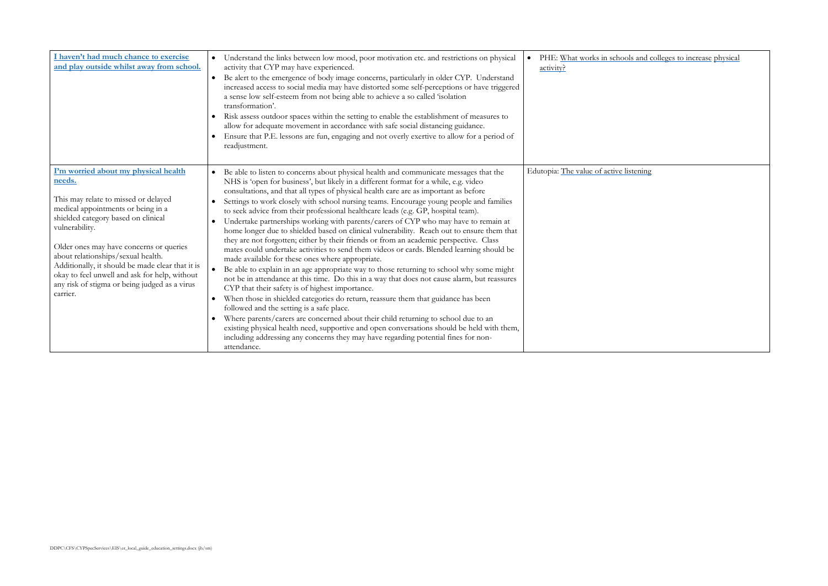<span id="page-22-1"></span><span id="page-22-0"></span>

| I haven't had much chance to exercise<br>and play outside whilst away from school.                                                                                                                                                                                                                                                                                                                                                       | Understand the links between low mood, poor motivation etc. and restrictions on physical<br>$\bullet$<br>activity that CYP may have experienced.<br>Be alert to the emergence of body image concerns, particularly in older CYP. Understand<br>$\bullet$<br>increased access to social media may have distorted some self-perceptions or have triggered<br>a sense low self-esteem from not being able to achieve a so called 'isolation<br>transformation'.<br>Risk assess outdoor spaces within the setting to enable the establishment of measures to<br>$\bullet$<br>allow for adequate movement in accordance with safe social distancing guidance.<br>Ensure that P.E. lessons are fun, engaging and not overly exertive to allow for a period of<br>readjustment.                                                                                                                                                                                                                                                                                                                                                                                                                                                                                                                                                                                                                                                                                                                                                                                                                                                         | PHE: What works in scho<br>$\bullet$<br>activity? |
|------------------------------------------------------------------------------------------------------------------------------------------------------------------------------------------------------------------------------------------------------------------------------------------------------------------------------------------------------------------------------------------------------------------------------------------|----------------------------------------------------------------------------------------------------------------------------------------------------------------------------------------------------------------------------------------------------------------------------------------------------------------------------------------------------------------------------------------------------------------------------------------------------------------------------------------------------------------------------------------------------------------------------------------------------------------------------------------------------------------------------------------------------------------------------------------------------------------------------------------------------------------------------------------------------------------------------------------------------------------------------------------------------------------------------------------------------------------------------------------------------------------------------------------------------------------------------------------------------------------------------------------------------------------------------------------------------------------------------------------------------------------------------------------------------------------------------------------------------------------------------------------------------------------------------------------------------------------------------------------------------------------------------------------------------------------------------------|---------------------------------------------------|
| I'm worried about my physical health<br>needs.<br>This may relate to missed or delayed<br>medical appointments or being in a<br>shielded category based on clinical<br>vulnerability.<br>Older ones may have concerns or queries<br>about relationships/sexual health.<br>Additionally, it should be made clear that it is<br>okay to feel unwell and ask for help, without<br>any risk of stigma or being judged as a virus<br>carrier. | Be able to listen to concerns about physical health and communicate messages that the<br>$\bullet$<br>NHS is 'open for business', but likely in a different format for a while, e.g. video<br>consultations, and that all types of physical health care are as important as before<br>Settings to work closely with school nursing teams. Encourage young people and families<br>$\bullet$<br>to seek advice from their professional healthcare leads (e.g. GP, hospital team).<br>Undertake partnerships working with parents/carers of CYP who may have to remain at<br>$\bullet$<br>home longer due to shielded based on clinical vulnerability. Reach out to ensure them that<br>they are not forgotten; either by their friends or from an academic perspective. Class<br>mates could undertake activities to send them videos or cards. Blended learning should be<br>made available for these ones where appropriate.<br>$\bullet$<br>Be able to explain in an age appropriate way to those returning to school why some might<br>not be in attendance at this time. Do this in a way that does not cause alarm, but reassures<br>CYP that their safety is of highest importance.<br>When those in shielded categories do return, reassure them that guidance has been<br>$\bullet$<br>followed and the setting is a safe place.<br>Where parents/carers are concerned about their child returning to school due to an<br>existing physical health need, supportive and open conversations should be held with them,<br>including addressing any concerns they may have regarding potential fines for non-<br>attendance. | Edutopia: The value of active                     |

pols and colleges to increase physical

topia: Listening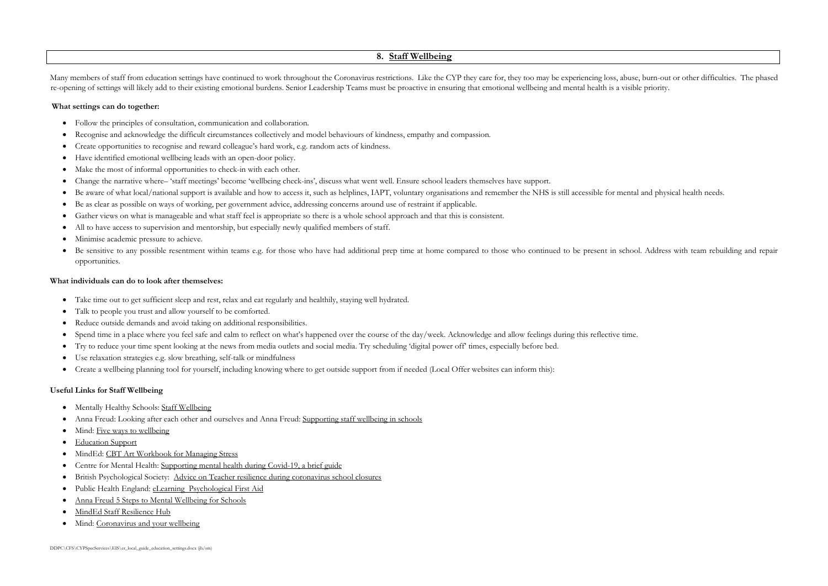### **8. [Staff Wellbeing](#page-1-0)**

<span id="page-23-0"></span>Many members of staff from education settings have continued to work throughout the Coronavirus restrictions. Like the CYP they care for, they too may be experiencing loss, abuse, burn-out or other difficulties. The phased re-opening of settings will likely add to their existing emotional burdens. Senior Leadership Teams must be proactive in ensuring that emotional wellbeing and mental health is a visible priority.

### **What settings can do together:**

- Take time out to get sufficient sleep and rest, relax and eat regularly and healthily, staying well hydrated.
- Talk to people you trust and allow yourself to be comforted.
- Reduce outside demands and avoid taking on additional responsibilities.
- Spend time in a place where you feel safe and calm to reflect on what's happened over the course of the day/week. Acknowledge and allow feelings during this reflective time.
- Try to reduce your time spent looking at the news from media outlets and social media. Try scheduling 'digital power off' times, especially before bed.
- Use relaxation strategies e.g. slow breathing, self-talk or [mindfulness](https://www.nhs.uk/conditions/stress-anxiety-depression/mindfulness/)
- Create a [wellbeing planning tool](http://www.yhscn.nhs.uk/media/PDFs/children/Docs%20and%20Links/Wellbeing%20Planning%20Tool.pdf) for yourself, including knowing where to get outside support from if needed (Local Offer websites can inform this):
- Follow the principles of consultation, communication and collaboration.
- Recognise and acknowledge the difficult circumstances collectively and model behaviours of kindness, empathy and compassion.
- Create opportunities to recognise and reward colleague's hard work, e.g. random acts of kindness.
- Have identified emotional wellbeing leads with an open-door policy.
- Make the most of informal opportunities to check-in with each other.
- Change the narrative where– 'staff meetings' become 'wellbeing check-ins', discuss what went well. Ensure school leaders themselves have support.
- Be aware of what local/national support is available and how to access it, such as helplines, IAPT, voluntary organisations and remember the NHS is still accessible for mental and physical health needs. Be as clear as possible on ways of working, per government advice, addressing concerns around use of restraint if applicable.
- Gather views on what is manageable and what staff feel is appropriate so there is a whole school approach and that this is consistent.
- All to have access to supervision and mentorship, but especially newly qualified members of staff.
- Minimise academic pressure to achieve.
- Be sensitive to any possible resentment within teams e.g. for those who have had additional prep time at home compared to those who continued to be present in school. Address with team rebuilding and repair opportunities.

- Mentally Healthy Schools: [Staff Wellbeing](https://www.mentallyhealthyschools.org.uk/whole-school-approach/supporting-staff-wellbeing/)
- Anna Freud: [Looking after each other and ourselves](https://www.annafreud.org/media/11242/looking-after-each-other-ourselves-final.pdf) and Anna Freud: [Supporting staff wellbeing in schools](https://www.annafreud.org/tmhstaff/)
- Mind: [Five ways to wellbeing](https://www.mind.org.uk/workplace/mental-health-at-work/taking-care-of-yourself/five-ways-to-wellbeing/)
- [Education Support](https://www.educationsupport.org.uk/)
- MindEd: [CBT Art Workbook for Managing Stress](http://www.jkp.com/jkpblog/wp-content/uploads/2020/04/Pages-from-Guest-The-CBT-Art-Workbook-for-Managing-Stress-9781787750982-PRESS.pdf?utm_medium=email&utm_campaign=UKROW%20Self-Care%20for%20Front%20Line%20Professionals&utm_content=UKROW%20Self-Care%20for%20Front%20Line%20Professionals+CID_cf3960582d312b284ad3177e434ef97a&utm_source=Email%20marketing&utm_term=Click%20here)
- Centre for Mental Health: [Supporting mental health during Covid-19, a brief guide](https://www.centreformentalhealth.org.uk/sites/default/files/2020-06/CentreforMentalHealth_Covid_MH_resource.pdf)
- British Psychological Society: [Advice on Teacher resilience during coronavirus school closures](https://www.bps.org.uk/sites/www.bps.org.uk/files/Member%20Networks/Divisions/DECP/Teacher%20resilience%20during%20coronavirus%20school%20closures.pdf)
- Public Health England: eLearning [Psychological First Aid](https://www.futurelearn.com/courses/psychological-first-aid-covid-19/1)
- [Anna Freud 5 Steps to Mental Wellbeing for Schools](https://www.annafreud.org/5steps/)
- [MindEd Staff Resilience Hub](https://covid.minded.org.uk/)
- Mind: [Coronavirus and your wellbeing](https://www.mind.org.uk/information-support/coronavirus/coronavirus-and-your-wellbeing/)

### **What individuals can do to look after themselves:**

### **Useful Links for Staff Wellbeing**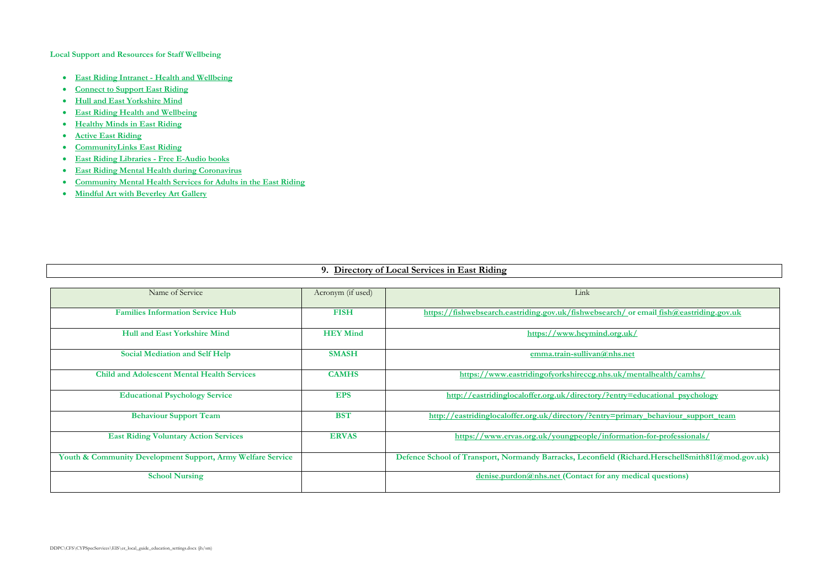**Local Support and Resources for Staff Wellbeing** 

- **[East Riding Intranet -](http://insight.eastriding.gov.uk/health-and-wellbeing/) Health and [Wellbeing](http://insight.eastriding.gov.uk/health-and-wellbeing/)**
- **[Connect to Support East Riding](https://eastriding.connecttosupport.org/information-and-advice/)**
- **[Hull and East Yorkshire Mind](https://eastriding.connecttosupport.org/information-and-advice/)**
- **[East Riding Health and Wellbeing](https://eastridinghealthandwellbeing.co.uk/)**
- **[Healthy Minds in East Riding](https://eastridinghealthandwellbeing.co.uk/healthy-minds/?utm_source=Twitter&utm_medium=social&utm_campaign=SocialSignIn&utm_content=Healthy+Minds)**
- **[Active East Riding](https://www.activeeastriding.co.uk/?utm_medium=eryc_short&utm_source=covid19.eastriding.gov.uk)**
- **[CommunityLinks East Riding](https://www.nhs-health-trainers.co.uk/services/east-riding-of-yorkshire/social-prescribing/)**
- **[East Riding Libraries -](https://www.eastridinglibraries.co.uk/more-than-books/health-zone/?utm_source=Twitter&utm_medium=social&utm_campaign=SocialSignIn&utm_content=COVID-19) Free [E-Audio](https://www.eastridinglibraries.co.uk/more-than-books/health-zone/?utm_source=Twitter&utm_medium=social&utm_campaign=SocialSignIn&utm_content=COVID-19) [books](https://www.eastridinglibraries.co.uk/more-than-books/health-zone/?utm_source=Twitter&utm_medium=social&utm_campaign=SocialSignIn&utm_content=COVID-19)**
- **[East Riding Mental Health during Coronavirus](https://eastridinghealthandwellbeing.co.uk/information/mental-health-coronavirus/)**
- **[Community Mental Health Services for Adults in the East Riding](https://www.humber.nhs.uk/Services/community-mental-health-services-for-adults-in-the-east-riding.htm)**
- **[Mindful Art with Beverley Art Gallery](https://www.youtube.com/watch?v=yw1tVOny2TU&list=PLSHV85RmthKRTXUUDlWm0kbgZCqgBZ-Dd)**

# **9. [Directory of Local Services in East Riding](#page-1-1)**

<span id="page-24-0"></span>

| Name of Service                                             | Acronym (if used) | Link                                                                                              |
|-------------------------------------------------------------|-------------------|---------------------------------------------------------------------------------------------------|
| <b>Families Information Service Hub</b>                     | <b>FISH</b>       | https://fishwebsearch.eastriding.gov.uk/fishwebsearch/ or email fish@eastriding.gov.uk            |
| <b>Hull and East Yorkshire Mind</b>                         | <b>HEY Mind</b>   | https://www.heymind.org.uk/                                                                       |
| <b>Social Mediation and Self Help</b>                       | <b>SMASH</b>      | emma.train-sullivan@nhs.net                                                                       |
| <b>Child and Adolescent Mental Health Services</b>          | <b>CAMHS</b>      | https://www.eastridingofyorkshireccg.nhs.uk/mentalhealth/camhs/                                   |
| <b>Educational Psychology Service</b>                       | <b>EPS</b>        | http://eastridinglocaloffer.org.uk/directory/?entry=educational_psychology                        |
| <b>Behaviour Support Team</b>                               | <b>BST</b>        | http://eastridinglocaloffer.org.uk/directory/?entry=primary behaviour support team                |
| <b>East Riding Voluntary Action Services</b>                | <b>ERVAS</b>      | https://www.ervas.org.uk/youngpeople/information-for-professionals/                               |
| Youth & Community Development Support, Army Welfare Service |                   | Defence School of Transport, Normandy Barracks, Leconfield (Richard.HerschellSmith811@mod.gov.uk) |
| <b>School Nursing</b>                                       |                   | $denise, purdon(\mathcal{Q})nhs.net (Contact for any medical questions)$                          |